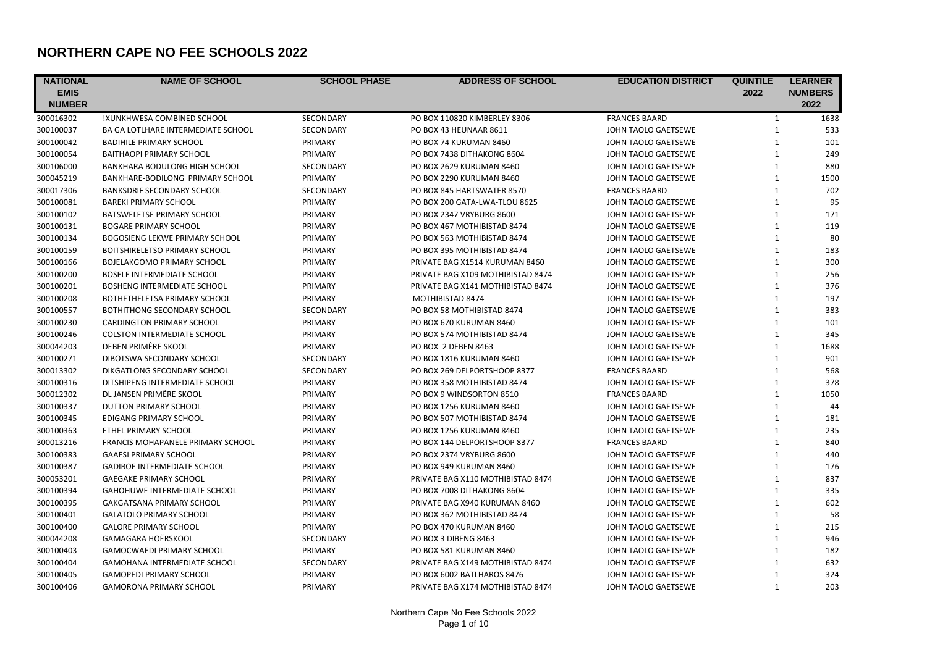## **NORTHERN CAPE NO FEE SCHOOLS 2022**

| <b>NATIONAL</b> | <b>NAME OF SCHOOL</b>                     | <b>SCHOOL PHASE</b> | <b>ADDRESS OF SCHOOL</b>          | <b>EDUCATION DISTRICT</b> | <b>QUINTILE</b> | <b>LEARNER</b> |
|-----------------|-------------------------------------------|---------------------|-----------------------------------|---------------------------|-----------------|----------------|
| <b>EMIS</b>     |                                           |                     |                                   |                           | 2022            | <b>NUMBERS</b> |
| <b>NUMBER</b>   |                                           |                     |                                   |                           |                 | 2022           |
| 300016302       | !XUNKHWESA COMBINED SCHOOL                | SECONDARY           | PO BOX 110820 KIMBERLEY 8306      | <b>FRANCES BAARD</b>      | 1               | 1638           |
| 300100037       | <b>BA GA LOTLHARE INTERMEDIATE SCHOOL</b> | SECONDARY           | PO BOX 43 HEUNAAR 8611            | JOHN TAOLO GAETSEWE       | $\mathbf{1}$    | 533            |
| 300100042       | <b>BADIHILE PRIMARY SCHOOL</b>            | PRIMARY             | PO BOX 74 KURUMAN 8460            | JOHN TAOLO GAETSEWE       | $\mathbf{1}$    | 101            |
| 300100054       | <b>BAITHAOPI PRIMARY SCHOOL</b>           | PRIMARY             | PO BOX 7438 DITHAKONG 8604        | JOHN TAOLO GAETSEWE       | $\mathbf{1}$    | 249            |
| 300106000       | <b>BANKHARA BODULONG HIGH SCHOOL</b>      | <b>SECONDARY</b>    | PO BOX 2629 KURUMAN 8460          | JOHN TAOLO GAETSEWE       | $\mathbf{1}$    | 880            |
| 300045219       | BANKHARE-BODILONG PRIMARY SCHOOL          | PRIMARY             | PO BOX 2290 KURUMAN 8460          | JOHN TAOLO GAETSEWE       | $\mathbf{1}$    | 1500           |
| 300017306       | <b>BANKSDRIF SECONDARY SCHOOL</b>         | <b>SECONDARY</b>    | PO BOX 845 HARTSWATER 8570        | <b>FRANCES BAARD</b>      | $\mathbf{1}$    | 702            |
| 300100081       | <b>BAREKI PRIMARY SCHOOL</b>              | PRIMARY             | PO BOX 200 GATA-LWA-TLOU 8625     | JOHN TAOLO GAETSEWE       | $\mathbf{1}$    | 95             |
| 300100102       | BATSWELETSE PRIMARY SCHOOL                | PRIMARY             | PO BOX 2347 VRYBURG 8600          | JOHN TAOLO GAETSEWE       | $\mathbf{1}$    | 171            |
| 300100131       | <b>BOGARE PRIMARY SCHOOL</b>              | PRIMARY             | PO BOX 467 MOTHIBISTAD 8474       | JOHN TAOLO GAETSEWE       | $\mathbf{1}$    | 119            |
| 300100134       | <b>BOGOSIENG LEKWE PRIMARY SCHOOL</b>     | PRIMARY             | PO BOX 563 MOTHIBISTAD 8474       | JOHN TAOLO GAETSEWE       | $\mathbf{1}$    | 80             |
| 300100159       | BOITSHIRELETSO PRIMARY SCHOOL             | PRIMARY             | PO BOX 395 MOTHIBISTAD 8474       | JOHN TAOLO GAETSEWE       | $\mathbf{1}$    | 183            |
| 300100166       | <b>BOJELAKGOMO PRIMARY SCHOOL</b>         | PRIMARY             | PRIVATE BAG X1514 KURUMAN 8460    | JOHN TAOLO GAETSEWE       | $\mathbf{1}$    | 300            |
| 300100200       | <b>BOSELE INTERMEDIATE SCHOOL</b>         | PRIMARY             | PRIVATE BAG X109 MOTHIBISTAD 8474 | JOHN TAOLO GAETSEWE       | $\mathbf{1}$    | 256            |
| 300100201       | BOSHENG INTERMEDIATE SCHOOL               | PRIMARY             | PRIVATE BAG X141 MOTHIBISTAD 8474 | JOHN TAOLO GAETSEWE       | $\mathbf{1}$    | 376            |
| 300100208       | BOTHETHELETSA PRIMARY SCHOOL              | PRIMARY             | MOTHIBISTAD 8474                  | JOHN TAOLO GAETSEWE       | $\mathbf{1}$    | 197            |
| 300100557       | BOTHITHONG SECONDARY SCHOOL               | SECONDARY           | PO BOX 58 MOTHIBISTAD 8474        | JOHN TAOLO GAETSEWE       | $\mathbf 1$     | 383            |
| 300100230       | <b>CARDINGTON PRIMARY SCHOOL</b>          | PRIMARY             | PO BOX 670 KURUMAN 8460           | JOHN TAOLO GAETSEWE       | $\mathbf{1}$    | 101            |
| 300100246       | <b>COLSTON INTERMEDIATE SCHOOL</b>        | PRIMARY             | PO BOX 574 MOTHIBISTAD 8474       | JOHN TAOLO GAETSEWE       | $\mathbf{1}$    | 345            |
| 300044203       | DEBEN PRIMÊRE SKOOL                       | PRIMARY             | PO BOX 2 DEBEN 8463               | JOHN TAOLO GAETSEWE       | $\mathbf{1}$    | 1688           |
| 300100271       | DIBOTSWA SECONDARY SCHOOL                 | <b>SECONDARY</b>    | PO BOX 1816 KURUMAN 8460          | JOHN TAOLO GAETSEWE       | $\mathbf{1}$    | 901            |
| 300013302       | DIKGATLONG SECONDARY SCHOOL               | <b>SECONDARY</b>    | PO BOX 269 DELPORTSHOOP 8377      | <b>FRANCES BAARD</b>      | $\mathbf{1}$    | 568            |
| 300100316       | DITSHIPENG INTERMEDIATE SCHOOL            | PRIMARY             | PO BOX 358 MOTHIBISTAD 8474       | JOHN TAOLO GAETSEWE       | $\mathbf{1}$    | 378            |
| 300012302       | DL JANSEN PRIMÊRE SKOOL                   | PRIMARY             | PO BOX 9 WINDSORTON 8510          | <b>FRANCES BAARD</b>      | $\mathbf{1}$    | 1050           |
| 300100337       | DUTTON PRIMARY SCHOOL                     | PRIMARY             | PO BOX 1256 KURUMAN 8460          | JOHN TAOLO GAETSEWE       | $\mathbf{1}$    | 44             |
| 300100345       | EDIGANG PRIMARY SCHOOL                    | PRIMARY             | PO BOX 507 MOTHIBISTAD 8474       | JOHN TAOLO GAETSEWE       | $\mathbf{1}$    | 181            |
| 300100363       | <b>ETHEL PRIMARY SCHOOL</b>               | PRIMARY             | PO BOX 1256 KURUMAN 8460          | JOHN TAOLO GAETSEWE       | $\mathbf{1}$    | 235            |
| 300013216       | FRANCIS MOHAPANELE PRIMARY SCHOOL         | PRIMARY             | PO BOX 144 DELPORTSHOOP 8377      | <b>FRANCES BAARD</b>      | $\mathbf{1}$    | 840            |
| 300100383       | <b>GAAESI PRIMARY SCHOOL</b>              | PRIMARY             | PO BOX 2374 VRYBURG 8600          | JOHN TAOLO GAETSEWE       | $\mathbf{1}$    | 440            |
| 300100387       | <b>GADIBOE INTERMEDIATE SCHOOL</b>        | PRIMARY             | PO BOX 949 KURUMAN 8460           | JOHN TAOLO GAETSEWE       | $\mathbf{1}$    | 176            |
| 300053201       | <b>GAEGAKE PRIMARY SCHOOL</b>             | PRIMARY             | PRIVATE BAG X110 MOTHIBISTAD 8474 | JOHN TAOLO GAETSEWE       | $\mathbf{1}$    | 837            |
| 300100394       | GAHOHUWE INTERMEDIATE SCHOOL              | PRIMARY             | PO BOX 7008 DITHAKONG 8604        | JOHN TAOLO GAETSEWE       | $\mathbf{1}$    | 335            |
| 300100395       | <b>GAKGATSANA PRIMARY SCHOOL</b>          | PRIMARY             | PRIVATE BAG X940 KURUMAN 8460     | JOHN TAOLO GAETSEWE       | $\mathbf{1}$    | 602            |
| 300100401       | <b>GALATOLO PRIMARY SCHOOL</b>            | PRIMARY             | PO BOX 362 MOTHIBISTAD 8474       | JOHN TAOLO GAETSEWE       | $\mathbf{1}$    | 58             |
| 300100400       | <b>GALORE PRIMARY SCHOOL</b>              | PRIMARY             | PO BOX 470 KURUMAN 8460           | JOHN TAOLO GAETSEWE       | $\mathbf{1}$    | 215            |
| 300044208       | GAMAGARA HOËRSKOOL                        | SECONDARY           | PO BOX 3 DIBENG 8463              | JOHN TAOLO GAETSEWE       | $\mathbf{1}$    | 946            |
| 300100403       | <b>GAMOCWAEDI PRIMARY SCHOOL</b>          | PRIMARY             | PO BOX 581 KURUMAN 8460           | JOHN TAOLO GAETSEWE       | $\mathbf{1}$    | 182            |
| 300100404       | <b>GAMOHANA INTERMEDIATE SCHOOL</b>       | <b>SECONDARY</b>    | PRIVATE BAG X149 MOTHIBISTAD 8474 | JOHN TAOLO GAETSEWE       | $\mathbf{1}$    | 632            |
| 300100405       | <b>GAMOPEDI PRIMARY SCHOOL</b>            | PRIMARY             | PO BOX 6002 BATLHAROS 8476        | JOHN TAOLO GAETSEWE       | $\mathbf{1}$    | 324            |
| 300100406       | <b>GAMORONA PRIMARY SCHOOL</b>            | PRIMARY             | PRIVATE BAG X174 MOTHIBISTAD 8474 | JOHN TAOLO GAETSEWE       | $\mathbf{1}$    | 203            |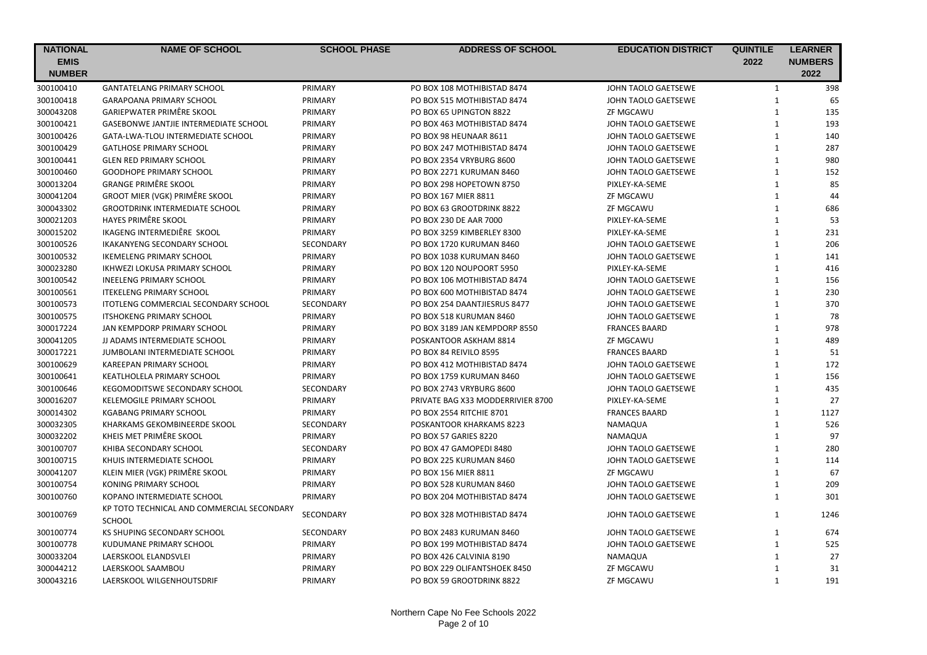| <b>NATIONAL</b> | <b>NAME OF SCHOOL</b>                      | <b>SCHOOL PHASE</b> | <b>ADDRESS OF SCHOOL</b>          | <b>EDUCATION DISTRICT</b> | <b>QUINTILE</b> | <b>LEARNER</b> |
|-----------------|--------------------------------------------|---------------------|-----------------------------------|---------------------------|-----------------|----------------|
| <b>EMIS</b>     |                                            |                     |                                   |                           | 2022            | <b>NUMBERS</b> |
| <b>NUMBER</b>   |                                            |                     |                                   |                           |                 | 2022           |
| 300100410       | <b>GANTATELANG PRIMARY SCHOOL</b>          | PRIMARY             | PO BOX 108 MOTHIBISTAD 8474       | JOHN TAOLO GAETSEWE       | $\mathbf{1}$    | 398            |
| 300100418       | GARAPOANA PRIMARY SCHOOL                   | PRIMARY             | PO BOX 515 MOTHIBISTAD 8474       | JOHN TAOLO GAETSEWE       | $\mathbf 1$     | 65             |
| 300043208       | <b>GARIEPWATER PRIMÊRE SKOOL</b>           | PRIMARY             | PO BOX 65 UPINGTON 8822           | <b>ZF MGCAWU</b>          | $\mathbf{1}$    | 135            |
| 300100421       | GASEBONWE JANTJIE INTERMEDIATE SCHOOL      | PRIMARY             | PO BOX 463 MOTHIBISTAD 8474       | JOHN TAOLO GAETSEWE       | $\mathbf{1}$    | 193            |
| 300100426       | GATA-LWA-TLOU INTERMEDIATE SCHOOL          | PRIMARY             | PO BOX 98 HEUNAAR 8611            | JOHN TAOLO GAETSEWE       | $\mathbf{1}$    | 140            |
| 300100429       | <b>GATLHOSE PRIMARY SCHOOL</b>             | PRIMARY             | PO BOX 247 MOTHIBISTAD 8474       | JOHN TAOLO GAETSEWE       | $\mathbf{1}$    | 287            |
| 300100441       | <b>GLEN RED PRIMARY SCHOOL</b>             | PRIMARY             | PO BOX 2354 VRYBURG 8600          | JOHN TAOLO GAETSEWE       | $\mathbf{1}$    | 980            |
| 300100460       | <b>GOODHOPE PRIMARY SCHOOL</b>             | PRIMARY             | PO BOX 2271 KURUMAN 8460          | JOHN TAOLO GAETSEWE       | $\mathbf{1}$    | 152            |
| 300013204       | <b>GRANGE PRIMÊRE SKOOL</b>                | PRIMARY             | PO BOX 298 HOPETOWN 8750          | PIXLEY-KA-SEME            | $\mathbf{1}$    | 85             |
| 300041204       | <b>GROOT MIER (VGK) PRIMÊRE SKOOL</b>      | PRIMARY             | PO BOX 167 MIER 8811              | ZF MGCAWU                 | $\mathbf{1}$    | 44             |
| 300043302       | <b>GROOTDRINK INTERMEDIATE SCHOOL</b>      | PRIMARY             | PO BOX 63 GROOTDRINK 8822         | ZF MGCAWU                 | $\mathbf{1}$    | 686            |
| 300021203       | <b>HAYES PRIMÊRE SKOOL</b>                 | PRIMARY             | PO BOX 230 DE AAR 7000            | PIXLEY-KA-SEME            | $\mathbf{1}$    | 53             |
| 300015202       | IKAGENG INTERMEDIËRE SKOOL                 | PRIMARY             | PO BOX 3259 KIMBERLEY 8300        | PIXLEY-KA-SEME            | $\mathbf{1}$    | 231            |
| 300100526       | <b>IKAKANYENG SECONDARY SCHOOL</b>         | SECONDARY           | PO BOX 1720 KURUMAN 8460          | JOHN TAOLO GAETSEWE       | $\mathbf 1$     | 206            |
| 300100532       | <b>IKEMELENG PRIMARY SCHOOL</b>            | PRIMARY             | PO BOX 1038 KURUMAN 8460          | JOHN TAOLO GAETSEWE       | $\mathbf{1}$    | 141            |
| 300023280       | IKHWEZI LOKUSA PRIMARY SCHOOL              | PRIMARY             | PO BOX 120 NOUPOORT 5950          | PIXLEY-KA-SEME            | $\mathbf{1}$    | 416            |
| 300100542       | <b>INEELENG PRIMARY SCHOOL</b>             | PRIMARY             | PO BOX 106 MOTHIBISTAD 8474       | JOHN TAOLO GAETSEWE       | $\mathbf 1$     | 156            |
| 300100561       | <b>ITEKELENG PRIMARY SCHOOL</b>            | PRIMARY             | PO BOX 600 MOTHIBISTAD 8474       | JOHN TAOLO GAETSEWE       | $\mathbf{1}$    | 230            |
| 300100573       | ITOTLENG COMMERCIAL SECONDARY SCHOOL       | <b>SECONDARY</b>    | PO BOX 254 DAANTJIESRUS 8477      | JOHN TAOLO GAETSEWE       | $\mathbf{1}$    | 370            |
| 300100575       | <b>ITSHOKENG PRIMARY SCHOOL</b>            | PRIMARY             | PO BOX 518 KURUMAN 8460           | JOHN TAOLO GAETSEWE       | $\mathbf 1$     | 78             |
| 300017224       | JAN KEMPDORP PRIMARY SCHOOL                | PRIMARY             | PO BOX 3189 JAN KEMPDORP 8550     | <b>FRANCES BAARD</b>      | $\mathbf{1}$    | 978            |
| 300041205       | JJ ADAMS INTERMEDIATE SCHOOL               | PRIMARY             | POSKANTOOR ASKHAM 8814            | <b>ZF MGCAWU</b>          | $\mathbf{1}$    | 489            |
| 300017221       | JUMBOLANI INTERMEDIATE SCHOOL              | PRIMARY             | PO BOX 84 REIVILO 8595            | <b>FRANCES BAARD</b>      | $\mathbf{1}$    | 51             |
| 300100629       | KAREEPAN PRIMARY SCHOOL                    | PRIMARY             | PO BOX 412 MOTHIBISTAD 8474       | JOHN TAOLO GAETSEWE       | $\mathbf{1}$    | 172            |
| 300100641       | KEATLHOLELA PRIMARY SCHOOL                 | PRIMARY             | PO BOX 1759 KURUMAN 8460          | JOHN TAOLO GAETSEWE       | $\mathbf{1}$    | 156            |
| 300100646       | KEGOMODITSWE SECONDARY SCHOOL              | SECONDARY           | PO BOX 2743 VRYBURG 8600          | JOHN TAOLO GAETSEWE       | $\mathbf{1}$    | 435            |
| 300016207       | KELEMOGILE PRIMARY SCHOOL                  | PRIMARY             | PRIVATE BAG X33 MODDERRIVIER 8700 | PIXLEY-KA-SEME            | $\mathbf{1}$    | 27             |
| 300014302       | <b>KGABANG PRIMARY SCHOOL</b>              | PRIMARY             | PO BOX 2554 RITCHIE 8701          | <b>FRANCES BAARD</b>      | $\mathbf{1}$    | 1127           |
| 300032305       | KHARKAMS GEKOMBINEERDE SKOOL               | SECONDARY           | POSKANTOOR KHARKAMS 8223          | NAMAQUA                   | $\mathbf{1}$    | 526            |
| 300032202       | KHEIS MET PRIMÊRE SKOOL                    | PRIMARY             | PO BOX 57 GARIES 8220             | <b>NAMAQUA</b>            | $\mathbf{1}$    | 97             |
| 300100707       | KHIBA SECONDARY SCHOOL                     | SECONDARY           | PO BOX 47 GAMOPEDI 8480           | JOHN TAOLO GAETSEWE       | $\mathbf{1}$    | 280            |
| 300100715       | KHUIS INTERMEDIATE SCHOOL                  | PRIMARY             | PO BOX 225 KURUMAN 8460           | JOHN TAOLO GAETSEWE       | $\mathbf{1}$    | 114            |
| 300041207       | KLEIN MIER (VGK) PRIMÊRE SKOOL             | PRIMARY             | PO BOX 156 MIER 8811              | ZF MGCAWU                 | $\mathbf{1}$    | 67             |
| 300100754       | KONING PRIMARY SCHOOL                      | PRIMARY             | PO BOX 528 KURUMAN 8460           | JOHN TAOLO GAETSEWE       | $\mathbf 1$     | 209            |
| 300100760       | KOPANO INTERMEDIATE SCHOOL                 | PRIMARY             | PO BOX 204 MOTHIBISTAD 8474       | JOHN TAOLO GAETSEWE       | $\mathbf{1}$    | 301            |
|                 | KP TOTO TECHNICAL AND COMMERCIAL SECONDARY |                     |                                   |                           |                 |                |
| 300100769       | <b>SCHOOL</b>                              | SECONDARY           | PO BOX 328 MOTHIBISTAD 8474       | JOHN TAOLO GAETSEWE       | $\mathbf{1}$    | 1246           |
| 300100774       | KS SHUPING SECONDARY SCHOOL                | SECONDARY           | PO BOX 2483 KURUMAN 8460          | JOHN TAOLO GAETSEWE       | $\mathbf{1}$    | 674            |
| 300100778       | KUDUMANE PRIMARY SCHOOL                    | PRIMARY             | PO BOX 199 MOTHIBISTAD 8474       | JOHN TAOLO GAETSEWE       | $\mathbf{1}$    | 525            |
| 300033204       | LAERSKOOL ELANDSVLEI                       | PRIMARY             | PO BOX 426 CALVINIA 8190          | NAMAQUA                   | $\mathbf{1}$    | 27             |
| 300044212       | LAERSKOOL SAAMBOU                          | PRIMARY             | PO BOX 229 OLIFANTSHOEK 8450      | ZF MGCAWU                 | $\mathbf{1}$    | 31             |
| 300043216       | LAERSKOOL WILGENHOUTSDRIF                  | PRIMARY             | PO BOX 59 GROOTDRINK 8822         | <b>ZF MGCAWU</b>          | $\mathbf{1}$    | 191            |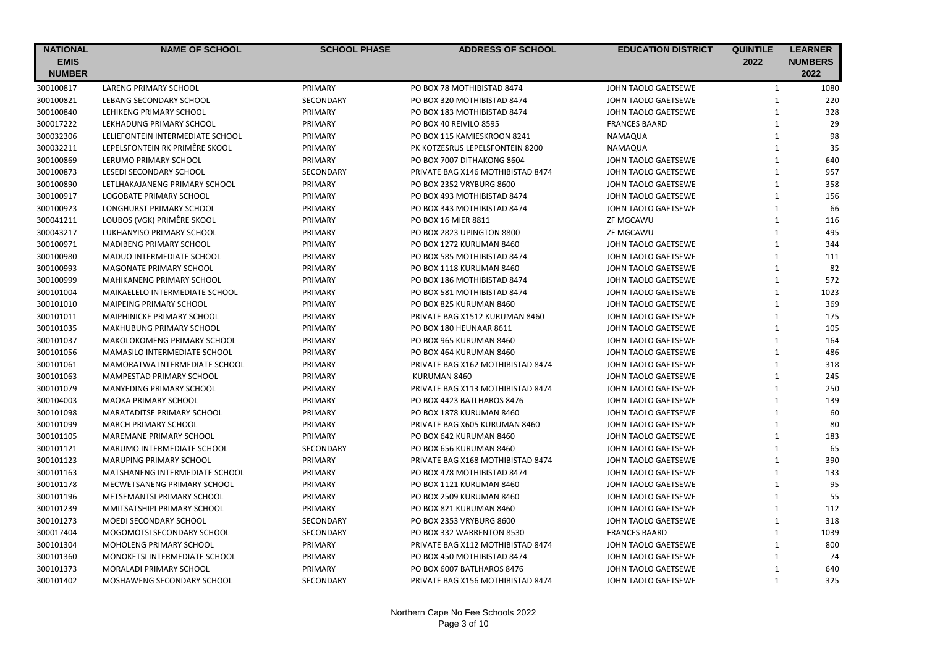| <b>NATIONAL</b> | <b>NAME OF SCHOOL</b>             | <b>SCHOOL PHASE</b> | <b>ADDRESS OF SCHOOL</b>          | <b>EDUCATION DISTRICT</b> | <b>QUINTILE</b> | <b>LEARNER</b> |
|-----------------|-----------------------------------|---------------------|-----------------------------------|---------------------------|-----------------|----------------|
| <b>EMIS</b>     |                                   |                     |                                   |                           | 2022            | <b>NUMBERS</b> |
| <b>NUMBER</b>   |                                   |                     |                                   |                           |                 | 2022           |
| 300100817       | <b>LARENG PRIMARY SCHOOL</b>      | PRIMARY             | PO BOX 78 MOTHIBISTAD 8474        | JOHN TAOLO GAETSEWE       | $\mathbf{1}$    | 1080           |
| 300100821       | LEBANG SECONDARY SCHOOL           | SECONDARY           | PO BOX 320 MOTHIBISTAD 8474       | JOHN TAOLO GAETSEWE       | $\mathbf{1}$    | 220            |
| 300100840       | LEHIKENG PRIMARY SCHOOL           | PRIMARY             | PO BOX 183 MOTHIBISTAD 8474       | JOHN TAOLO GAETSEWE       | $\mathbf{1}$    | 328            |
| 300017222       | LEKHADUNG PRIMARY SCHOOL          | PRIMARY             | PO BOX 40 REIVILO 8595            | <b>FRANCES BAARD</b>      | $\mathbf{1}$    | 29             |
| 300032306       | LELIEFONTEIN INTERMEDIATE SCHOOL  | PRIMARY             | PO BOX 115 KAMIESKROON 8241       | NAMAQUA                   | $\mathbf{1}$    | 98             |
| 300032211       | LEPELSFONTEIN RK PRIMÊRE SKOOL    | PRIMARY             | PK KOTZESRUS LEPELSFONTEIN 8200   | NAMAQUA                   | $\mathbf{1}$    | 35             |
| 300100869       | LERUMO PRIMARY SCHOOL             | PRIMARY             | PO BOX 7007 DITHAKONG 8604        | JOHN TAOLO GAETSEWE       | $\mathbf{1}$    | 640            |
| 300100873       | <b>LESEDI SECONDARY SCHOOL</b>    | SECONDARY           | PRIVATE BAG X146 MOTHIBISTAD 8474 | JOHN TAOLO GAETSEWE       | $\mathbf{1}$    | 957            |
| 300100890       | LETLHAKAJANENG PRIMARY SCHOOL     | PRIMARY             | PO BOX 2352 VRYBURG 8600          | JOHN TAOLO GAETSEWE       | $\mathbf{1}$    | 358            |
| 300100917       | LOGOBATE PRIMARY SCHOOL           | PRIMARY             | PO BOX 493 MOTHIBISTAD 8474       | JOHN TAOLO GAETSEWE       | $\mathbf{1}$    | 156            |
| 300100923       | LONGHURST PRIMARY SCHOOL          | PRIMARY             | PO BOX 343 MOTHIBISTAD 8474       | JOHN TAOLO GAETSEWE       | $\mathbf{1}$    | 66             |
| 300041211       | LOUBOS (VGK) PRIMÊRE SKOOL        | PRIMARY             | PO BOX 16 MIER 8811               | ZF MGCAWU                 | $\mathbf{1}$    | 116            |
| 300043217       | LUKHANYISO PRIMARY SCHOOL         | PRIMARY             | PO BOX 2823 UPINGTON 8800         | ZF MGCAWU                 | $\mathbf{1}$    | 495            |
| 300100971       | <b>MADIBENG PRIMARY SCHOOL</b>    | PRIMARY             | PO BOX 1272 KURUMAN 8460          | JOHN TAOLO GAETSEWE       | $\mathbf{1}$    | 344            |
| 300100980       | MADUO INTERMEDIATE SCHOOL         | PRIMARY             | PO BOX 585 MOTHIBISTAD 8474       | JOHN TAOLO GAETSEWE       | $\mathbf{1}$    | 111            |
| 300100993       | MAGONATE PRIMARY SCHOOL           | PRIMARY             | PO BOX 1118 KURUMAN 8460          | JOHN TAOLO GAETSEWE       | $\mathbf 1$     | 82             |
| 300100999       | MAHIKANENG PRIMARY SCHOOL         | PRIMARY             | PO BOX 186 MOTHIBISTAD 8474       | JOHN TAOLO GAETSEWE       | $\mathbf{1}$    | 572            |
| 300101004       | MAIKAELELO INTERMEDIATE SCHOOL    | PRIMARY             | PO BOX 581 MOTHIBISTAD 8474       | JOHN TAOLO GAETSEWE       | $\mathbf{1}$    | 1023           |
| 300101010       | MAIPEING PRIMARY SCHOOL           | PRIMARY             | PO BOX 825 KURUMAN 8460           | JOHN TAOLO GAETSEWE       | $\mathbf{1}$    | 369            |
| 300101011       | <b>MAIPHINICKE PRIMARY SCHOOL</b> | PRIMARY             | PRIVATE BAG X1512 KURUMAN 8460    | JOHN TAOLO GAETSEWE       | $\mathbf{1}$    | 175            |
| 300101035       | <b>MAKHUBUNG PRIMARY SCHOOL</b>   | PRIMARY             | PO BOX 180 HEUNAAR 8611           | JOHN TAOLO GAETSEWE       | $\mathbf{1}$    | 105            |
| 300101037       | MAKOLOKOMENG PRIMARY SCHOOL       | PRIMARY             | PO BOX 965 KURUMAN 8460           | JOHN TAOLO GAETSEWE       | $\mathbf 1$     | 164            |
| 300101056       | MAMASILO INTERMEDIATE SCHOOL      | PRIMARY             | PO BOX 464 KURUMAN 8460           | JOHN TAOLO GAETSEWE       | $\mathbf{1}$    | 486            |
| 300101061       | MAMORATWA INTERMEDIATE SCHOOL     | PRIMARY             | PRIVATE BAG X162 MOTHIBISTAD 8474 | JOHN TAOLO GAETSEWE       | $\mathbf{1}$    | 318            |
| 300101063       | MAMPESTAD PRIMARY SCHOOL          | PRIMARY             | KURUMAN 8460                      | JOHN TAOLO GAETSEWE       | $\mathbf{1}$    | 245            |
| 300101079       | <b>MANYEDING PRIMARY SCHOOL</b>   | PRIMARY             | PRIVATE BAG X113 MOTHIBISTAD 8474 | JOHN TAOLO GAETSEWE       | $\mathbf{1}$    | 250            |
| 300104003       | <b>MAOKA PRIMARY SCHOOL</b>       | PRIMARY             | PO BOX 4423 BATLHAROS 8476        | JOHN TAOLO GAETSEWE       | $\mathbf{1}$    | 139            |
| 300101098       | MARATADITSE PRIMARY SCHOOL        | PRIMARY             | PO BOX 1878 KURUMAN 8460          | JOHN TAOLO GAETSEWE       | $\mathbf{1}$    | 60             |
| 300101099       | <b>MARCH PRIMARY SCHOOL</b>       | PRIMARY             | PRIVATE BAG X605 KURUMAN 8460     | JOHN TAOLO GAETSEWE       | $\mathbf{1}$    | 80             |
| 300101105       | MAREMANE PRIMARY SCHOOL           | PRIMARY             | PO BOX 642 KURUMAN 8460           | JOHN TAOLO GAETSEWE       | $\mathbf{1}$    | 183            |
| 300101121       | MARUMO INTERMEDIATE SCHOOL        | SECONDARY           | PO BOX 656 KURUMAN 8460           | JOHN TAOLO GAETSEWE       | $\mathbf{1}$    | 65             |
| 300101123       | <b>MARUPING PRIMARY SCHOOL</b>    | PRIMARY             | PRIVATE BAG X168 MOTHIBISTAD 8474 | JOHN TAOLO GAETSEWE       | $\mathbf{1}$    | 390            |
| 300101163       | MATSHANENG INTERMEDIATE SCHOOL    | PRIMARY             | PO BOX 478 MOTHIBISTAD 8474       | JOHN TAOLO GAETSEWE       | $\mathbf{1}$    | 133            |
| 300101178       | MECWETSANENG PRIMARY SCHOOL       | PRIMARY             | PO BOX 1121 KURUMAN 8460          | JOHN TAOLO GAETSEWE       | $\mathbf{1}$    | 95             |
| 300101196       | <b>METSEMANTSI PRIMARY SCHOOL</b> | PRIMARY             | PO BOX 2509 KURUMAN 8460          | JOHN TAOLO GAETSEWE       | $\mathbf{1}$    | 55             |
| 300101239       | MMITSATSHIPI PRIMARY SCHOOL       | PRIMARY             | PO BOX 821 KURUMAN 8460           | JOHN TAOLO GAETSEWE       | $\mathbf{1}$    | 112            |
| 300101273       | MOEDI SECONDARY SCHOOL            | SECONDARY           | PO BOX 2353 VRYBURG 8600          | JOHN TAOLO GAETSEWE       | $\mathbf{1}$    | 318            |
| 300017404       | MOGOMOTSI SECONDARY SCHOOL        | SECONDARY           | PO BOX 332 WARRENTON 8530         | <b>FRANCES BAARD</b>      | $\mathbf{1}$    | 1039           |
| 300101304       | MOHOLENG PRIMARY SCHOOL           | PRIMARY             | PRIVATE BAG X112 MOTHIBISTAD 8474 | JOHN TAOLO GAETSEWE       | 1               | 800            |
| 300101360       | MONOKETSI INTERMEDIATE SCHOOL     | PRIMARY             | PO BOX 450 MOTHIBISTAD 8474       | JOHN TAOLO GAETSEWE       | $\mathbf{1}$    | 74             |
| 300101373       | <b>MORALADI PRIMARY SCHOOL</b>    | PRIMARY             | PO BOX 6007 BATLHAROS 8476        | JOHN TAOLO GAETSEWE       | $\mathbf{1}$    | 640            |
| 300101402       | MOSHAWENG SECONDARY SCHOOL        | <b>SECONDARY</b>    | PRIVATE BAG X156 MOTHIBISTAD 8474 | JOHN TAOLO GAETSEWE       | $\mathbf{1}$    | 325            |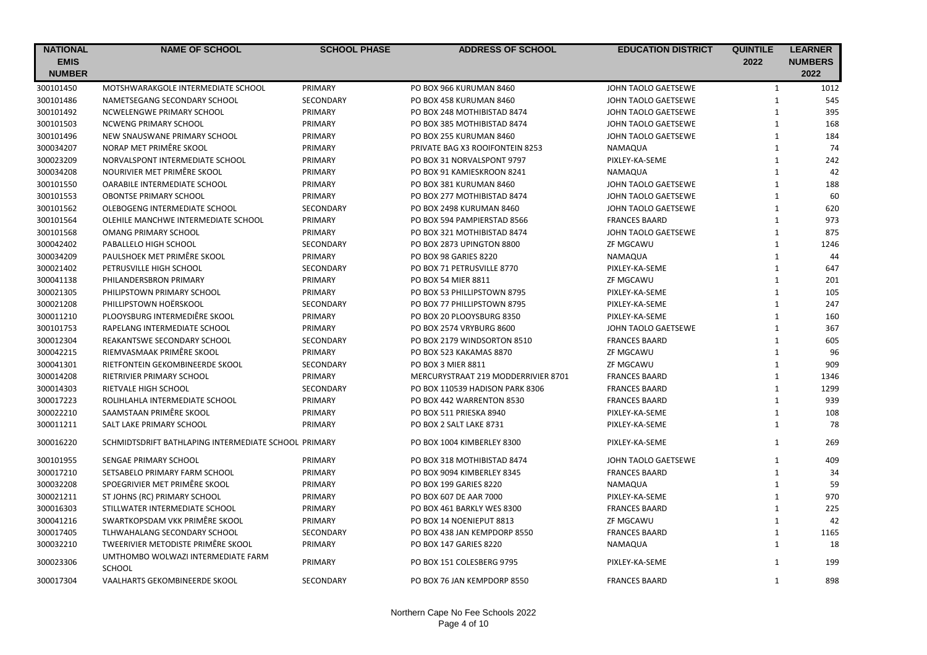| <b>NATIONAL</b><br><b>EMIS</b><br><b>NUMBER</b> | <b>NAME OF SCHOOL</b>                                | <b>SCHOOL PHASE</b> | <b>ADDRESS OF SCHOOL</b>            | <b>EDUCATION DISTRICT</b> | <b>QUINTILE</b><br>2022 | <b>LEARNER</b><br><b>NUMBERS</b><br>2022 |
|-------------------------------------------------|------------------------------------------------------|---------------------|-------------------------------------|---------------------------|-------------------------|------------------------------------------|
| 300101450                                       | MOTSHWARAKGOLE INTERMEDIATE SCHOOL                   | PRIMARY             | PO BOX 966 KURUMAN 8460             | JOHN TAOLO GAETSEWE       | $\mathbf{1}$            | 1012                                     |
| 300101486                                       | NAMETSEGANG SECONDARY SCHOOL                         | SECONDARY           | PO BOX 458 KURUMAN 8460             | JOHN TAOLO GAETSEWE       | $\mathbf{1}$            | 545                                      |
| 300101492                                       | NCWELENGWE PRIMARY SCHOOL                            | PRIMARY             | PO BOX 248 MOTHIBISTAD 8474         | JOHN TAOLO GAETSEWE       | $\mathbf{1}$            | 395                                      |
| 300101503                                       | <b>NCWENG PRIMARY SCHOOL</b>                         | PRIMARY             | PO BOX 385 MOTHIBISTAD 8474         | JOHN TAOLO GAETSEWE       | $\mathbf{1}$            | 168                                      |
| 300101496                                       | NEW SNAUSWANE PRIMARY SCHOOL                         | PRIMARY             | PO BOX 255 KURUMAN 8460             | JOHN TAOLO GAETSEWE       | $\mathbf{1}$            | 184                                      |
| 300034207                                       | NORAP MET PRIMÊRE SKOOL                              | PRIMARY             | PRIVATE BAG X3 ROOIFONTEIN 8253     | NAMAQUA                   | $\mathbf{1}$            | 74                                       |
| 300023209                                       | NORVALSPONT INTERMEDIATE SCHOOL                      | PRIMARY             | PO BOX 31 NORVALSPONT 9797          | PIXLEY-KA-SEME            | $\mathbf{1}$            | 242                                      |
| 300034208                                       | NOURIVIER MET PRIMÊRE SKOOL                          | PRIMARY             | PO BOX 91 KAMIESKROON 8241          | NAMAQUA                   | $\mathbf{1}$            | 42                                       |
| 300101550                                       | OARABILE INTERMEDIATE SCHOOL                         | PRIMARY             | PO BOX 381 KURUMAN 8460             | JOHN TAOLO GAETSEWE       | $\mathbf{1}$            | 188                                      |
| 300101553                                       | <b>OBONTSE PRIMARY SCHOOL</b>                        | PRIMARY             | PO BOX 277 MOTHIBISTAD 8474         | JOHN TAOLO GAETSEWE       | $\mathbf{1}$            | 60                                       |
| 300101562                                       | OLEBOGENG INTERMEDIATE SCHOOL                        | SECONDARY           | PO BOX 2498 KURUMAN 8460            | JOHN TAOLO GAETSEWE       | $\mathbf{1}$            | 620                                      |
| 300101564                                       | OLEHILE MANCHWE INTERMEDIATE SCHOOL                  | PRIMARY             | PO BOX 594 PAMPIERSTAD 8566         | <b>FRANCES BAARD</b>      | $\mathbf{1}$            | 973                                      |
| 300101568                                       | <b>OMANG PRIMARY SCHOOL</b>                          | PRIMARY             | PO BOX 321 MOTHIBISTAD 8474         | JOHN TAOLO GAETSEWE       | $\mathbf{1}$            | 875                                      |
| 300042402                                       | PABALLELO HIGH SCHOOL                                | SECONDARY           | PO BOX 2873 UPINGTON 8800           | ZF MGCAWU                 | $\mathbf{1}$            | 1246                                     |
| 300034209                                       | PAULSHOEK MET PRIMÊRE SKOOL                          | PRIMARY             | <b>PO BOX 98 GARIES 8220</b>        | NAMAQUA                   | $\mathbf{1}$            | 44                                       |
| 300021402                                       | PETRUSVILLE HIGH SCHOOL                              | SECONDARY           | PO BOX 71 PETRUSVILLE 8770          | PIXLEY-KA-SEME            | $\mathbf{1}$            | 647                                      |
| 300041138                                       | PHILANDERSBRON PRIMARY                               | PRIMARY             | PO BOX 54 MIER 8811                 | <b>ZF MGCAWU</b>          | $\mathbf{1}$            | 201                                      |
| 300021305                                       | PHILIPSTOWN PRIMARY SCHOOL                           | PRIMARY             | PO BOX 53 PHILLIPSTOWN 8795         | PIXLEY-KA-SEME            | $\mathbf{1}$            | 105                                      |
| 300021208                                       | PHILLIPSTOWN HOËRSKOOL                               | SECONDARY           | PO BOX 77 PHILLIPSTOWN 8795         | PIXLEY-KA-SEME            | $\mathbf{1}$            | 247                                      |
| 300011210                                       | PLOOYSBURG INTERMEDIÊRE SKOOL                        | PRIMARY             | PO BOX 20 PLOOYSBURG 8350           | PIXLEY-KA-SEME            | $\mathbf{1}$            | 160                                      |
| 300101753                                       | RAPELANG INTERMEDIATE SCHOOL                         | PRIMARY             | PO BOX 2574 VRYBURG 8600            | JOHN TAOLO GAETSEWE       | $\mathbf{1}$            | 367                                      |
| 300012304                                       | REAKANTSWE SECONDARY SCHOOL                          | SECONDARY           | PO BOX 2179 WINDSORTON 8510         | <b>FRANCES BAARD</b>      | $\mathbf{1}$            | 605                                      |
| 300042215                                       | RIEMVASMAAK PRIMÊRE SKOOL                            | PRIMARY             | PO BOX 523 KAKAMAS 8870             | ZF MGCAWU                 | $\mathbf{1}$            | 96                                       |
| 300041301                                       | RIETFONTEIN GEKOMBINEERDE SKOOL                      | SECONDARY           | <b>PO BOX 3 MIER 8811</b>           | ZF MGCAWU                 | $\mathbf{1}$            | 909                                      |
| 300014208                                       | RIETRIVIER PRIMARY SCHOOL                            | PRIMARY             | MERCURYSTRAAT 219 MODDERRIVIER 8701 | <b>FRANCES BAARD</b>      | $\mathbf{1}$            | 1346                                     |
| 300014303                                       | RIETVALE HIGH SCHOOL                                 | SECONDARY           | PO BOX 110539 HADISON PARK 8306     | <b>FRANCES BAARD</b>      | $\mathbf{1}$            | 1299                                     |
| 300017223                                       | ROLIHLAHLA INTERMEDIATE SCHOOL                       | PRIMARY             | PO BOX 442 WARRENTON 8530           | <b>FRANCES BAARD</b>      | $\mathbf{1}$            | 939                                      |
| 300022210                                       | SAAMSTAAN PRIMÊRE SKOOL                              | PRIMARY             | PO BOX 511 PRIESKA 8940             | PIXLEY-KA-SEME            | $\mathbf{1}$            | 108                                      |
| 300011211                                       | SALT LAKE PRIMARY SCHOOL                             | PRIMARY             | PO BOX 2 SALT LAKE 8731             | PIXLEY-KA-SEME            | $\mathbf{1}$            | 78                                       |
| 300016220                                       | SCHMIDTSDRIFT BATHLAPING INTERMEDIATE SCHOOL PRIMARY |                     | PO BOX 1004 KIMBERLEY 8300          | PIXLEY-KA-SEME            | $\mathbf{1}$            | 269                                      |
| 300101955                                       | SENGAE PRIMARY SCHOOL                                | PRIMARY             | PO BOX 318 MOTHIBISTAD 8474         | JOHN TAOLO GAETSEWE       | 1                       | 409                                      |
| 300017210                                       | SETSABELO PRIMARY FARM SCHOOL                        | PRIMARY             | PO BOX 9094 KIMBERLEY 8345          | <b>FRANCES BAARD</b>      | $\mathbf{1}$            | 34                                       |
| 300032208                                       | SPOEGRIVIER MET PRIMÊRE SKOOL                        | PRIMARY             | <b>PO BOX 199 GARIES 8220</b>       | NAMAQUA                   | $\mathbf{1}$            | 59                                       |
| 300021211                                       | ST JOHNS (RC) PRIMARY SCHOOL                         | PRIMARY             | PO BOX 607 DE AAR 7000              | PIXLEY-KA-SEME            | $\mathbf{1}$            | 970                                      |
| 300016303                                       | STILLWATER INTERMEDIATE SCHOOL                       | PRIMARY             | PO BOX 461 BARKLY WES 8300          | <b>FRANCES BAARD</b>      | $\mathbf{1}$            | 225                                      |
| 300041216                                       | SWARTKOPSDAM VKK PRIMÊRE SKOOL                       | PRIMARY             | PO BOX 14 NOENIEPUT 8813            | ZF MGCAWU                 | $\mathbf{1}$            | 42                                       |
| 300017405                                       | TLHWAHALANG SECONDARY SCHOOL                         | <b>SECONDARY</b>    | PO BOX 438 JAN KEMPDORP 8550        | <b>FRANCES BAARD</b>      | $\mathbf{1}$            | 1165                                     |
| 300032210                                       | TWEERIVIER METODISTE PRIMÊRE SKOOL                   | PRIMARY             | PO BOX 147 GARIES 8220              | NAMAQUA                   | $\mathbf{1}$            | 18                                       |
| 300023306                                       | UMTHOMBO WOLWAZI INTERMEDIATE FARM<br><b>SCHOOL</b>  | PRIMARY             | PO BOX 151 COLESBERG 9795           | PIXLEY-KA-SEME            | $\mathbf{1}$            | 199                                      |
| 300017304                                       | VAALHARTS GEKOMBINEERDE SKOOL                        | <b>SECONDARY</b>    | PO BOX 76 JAN KEMPDORP 8550         | <b>FRANCES BAARD</b>      | 1                       | 898                                      |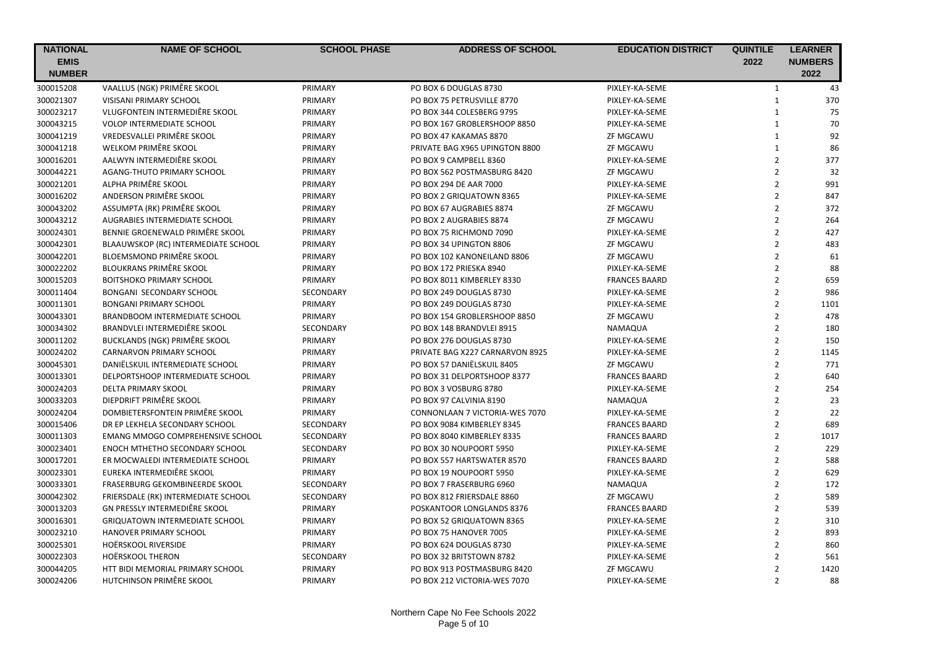| <b>NATIONAL</b> | <b>NAME OF SCHOOL</b>                   | <b>SCHOOL PHASE</b> | <b>ADDRESS OF SCHOOL</b>        | <b>EDUCATION DISTRICT</b> | <b>QUINTILE</b> | <b>LEARNER</b> |
|-----------------|-----------------------------------------|---------------------|---------------------------------|---------------------------|-----------------|----------------|
| <b>EMIS</b>     |                                         |                     |                                 |                           | 2022            | <b>NUMBERS</b> |
| <b>NUMBER</b>   |                                         |                     |                                 |                           |                 | 2022           |
| 300015208       | VAALLUS (NGK) PRIMÊRE SKOOL             | PRIMARY             | PO BOX 6 DOUGLAS 8730           | PIXLEY-KA-SEME            | $\mathbf{1}$    | 43             |
| 300021307       | VISISANI PRIMARY SCHOOL                 | PRIMARY             | PO BOX 75 PETRUSVILLE 8770      | PIXLEY-KA-SEME            | $\mathbf{1}$    | 370            |
| 300023217       | VLUGFONTEIN INTERMEDIÊRE SKOOL          | PRIMARY             | PO BOX 344 COLESBERG 9795       | PIXLEY-KA-SEME            | $\mathbf{1}$    | 75             |
| 300043215       | VOLOP INTERMEDIATE SCHOOL               | PRIMARY             | PO BOX 167 GROBLERSHOOP 8850    | PIXLEY-KA-SEME            | $\mathbf{1}$    | 70             |
| 300041219       | VREDESVALLEI PRIMÊRE SKOOL              | PRIMARY             | PO BOX 47 KAKAMAS 8870          | ZF MGCAWU                 | $\mathbf{1}$    | 92             |
| 300041218       | WELKOM PRIMÊRE SKOOL                    | PRIMARY             | PRIVATE BAG X965 UPINGTON 8800  | ZF MGCAWU                 | $\mathbf{1}$    | 86             |
| 300016201       | AALWYN INTERMEDIÊRE SKOOL               | PRIMARY             | PO BOX 9 CAMPBELL 8360          | PIXLEY-KA-SEME            | $\overline{2}$  | 377            |
| 300044221       | AGANG-THUTO PRIMARY SCHOOL              | PRIMARY             | PO BOX 562 POSTMASBURG 8420     | ZF MGCAWU                 | $\overline{2}$  | 32             |
| 300021201       | ALPHA PRIMÊRE SKOOL                     | PRIMARY             | PO BOX 294 DE AAR 7000          | PIXLEY-KA-SEME            | $\overline{2}$  | 991            |
| 300016202       | ANDERSON PRIMÊRE SKOOL                  | PRIMARY             | PO BOX 2 GRIQUATOWN 8365        | PIXLEY-KA-SEME            | $\overline{2}$  | 847            |
| 300043202       | ASSUMPTA (RK) PRIMÊRE SKOOL             | PRIMARY             | PO BOX 67 AUGRABIES 8874        | ZF MGCAWU                 | $\overline{2}$  | 372            |
| 300043212       | AUGRABIES INTERMEDIATE SCHOOL           | PRIMARY             | PO BOX 2 AUGRABIES 8874         | ZF MGCAWU                 | $\overline{2}$  | 264            |
| 300024301       | BENNIE GROENEWALD PRIMÊRE SKOOL         | PRIMARY             | PO BOX 75 RICHMOND 7090         | PIXLEY-KA-SEME            | $\overline{2}$  | 427            |
| 300042301       | BLAAUWSKOP (RC) INTERMEDIATE SCHOOL     | PRIMARY             | PO BOX 34 UPINGTON 8806         | ZF MGCAWU                 | $\overline{2}$  | 483            |
| 300042201       | BLOEMSMOND PRIMÊRE SKOOL                | PRIMARY             | PO BOX 102 KANONEILAND 8806     | ZF MGCAWU                 | $\overline{2}$  | 61             |
| 300022202       | <b>BLOUKRANS PRIMÊRE SKOOL</b>          | PRIMARY             | PO BOX 172 PRIESKA 8940         | PIXLEY-KA-SEME            | $\overline{2}$  | 88             |
| 300015203       | <b>BOITSHOKO PRIMARY SCHOOL</b>         | PRIMARY             | PO BOX 8011 KIMBERLEY 8330      | <b>FRANCES BAARD</b>      | $\overline{2}$  | 659            |
| 300011404       | BONGANI SECONDARY SCHOOL                | SECONDARY           | PO BOX 249 DOUGLAS 8730         | PIXLEY-KA-SEME            | $\overline{2}$  | 986            |
| 300011301       | <b>BONGANI PRIMARY SCHOOL</b>           | PRIMARY             | PO BOX 249 DOUGLAS 8730         | PIXLEY-KA-SEME            | $\overline{2}$  | 1101           |
| 300043301       | BRANDBOOM INTERMEDIATE SCHOOL           | PRIMARY             | PO BOX 154 GROBLERSHOOP 8850    | ZF MGCAWU                 | $\overline{2}$  | 478            |
| 300034302       | BRANDVLEI INTERMEDIÊRE SKOOL            | SECONDARY           | PO BOX 148 BRANDVLEI 8915       | NAMAQUA                   | $\overline{2}$  | 180            |
| 300011202       | BUCKLANDS (NGK) PRIMÊRE SKOOL           | PRIMARY             | PO BOX 276 DOUGLAS 8730         | PIXLEY-KA-SEME            | $\overline{2}$  | 150            |
| 300024202       | CARNARVON PRIMARY SCHOOL                | PRIMARY             | PRIVATE BAG X227 CARNARVON 8925 | PIXLEY-KA-SEME            | $\overline{2}$  | 1145           |
| 300045301       | DANIËLSKUIL INTERMEDIATE SCHOOL         | PRIMARY             | PO BOX 57 DANIËLSKUIL 8405      | <b>ZF MGCAWU</b>          | $\overline{2}$  | 771            |
| 300013301       | DELPORTSHOOP INTERMEDIATE SCHOOL        | PRIMARY             | PO BOX 31 DELPORTSHOOP 8377     | <b>FRANCES BAARD</b>      | $\overline{2}$  | 640            |
| 300024203       | <b>DELTA PRIMARY SKOOL</b>              | PRIMARY             | PO BOX 3 VOSBURG 8780           | PIXLEY-KA-SEME            | $\overline{2}$  | 254            |
| 300033203       | DIEPDRIFT PRIMÊRE SKOOL                 | PRIMARY             | PO BOX 97 CALVINIA 8190         | NAMAQUA                   | $\overline{2}$  | 23             |
| 300024204       | DOMBIETERSFONTEIN PRIMÊRE SKOOL         | PRIMARY             | CONNONLAAN 7 VICTORIA-WES 7070  | PIXLEY-KA-SEME            | $\overline{2}$  | 22             |
| 300015406       | DR EP LEKHELA SECONDARY SCHOOL          | SECONDARY           | PO BOX 9084 KIMBERLEY 8345      | <b>FRANCES BAARD</b>      | $\overline{2}$  | 689            |
| 300011303       | <b>EMANG MMOGO COMPREHENSIVE SCHOOL</b> | <b>SECONDARY</b>    | PO BOX 8040 KIMBERLEY 8335      | <b>FRANCES BAARD</b>      | $\overline{2}$  | 1017           |
| 300023401       | <b>ENOCH MTHETHO SECONDARY SCHOOL</b>   | SECONDARY           | PO BOX 30 NOUPOORT 5950         | PIXLEY-KA-SEME            | $\mathbf 2$     | 229            |
| 300017201       | ER MOCWALEDI INTERMEDIATE SCHOOL        | PRIMARY             | PO BOX 557 HARTSWATER 8570      | <b>FRANCES BAARD</b>      | $\overline{2}$  | 588            |
| 300023301       | EUREKA INTERMEDIÊRE SKOOL               | PRIMARY             | PO BOX 19 NOUPOORT 5950         | PIXLEY-KA-SEME            | $\overline{2}$  | 629            |
| 300033301       | FRASERBURG GEKOMBINEERDE SKOOL          | SECONDARY           | PO BOX 7 FRASERBURG 6960        | <b>NAMAQUA</b>            | $\mathbf 2$     | 172            |
| 300042302       | FRIERSDALE (RK) INTERMEDIATE SCHOOL     | SECONDARY           | PO BOX 812 FRIERSDALE 8860      | ZF MGCAWU                 | $\overline{2}$  | 589            |
| 300013203       | GN PRESSLY INTERMEDIÊRE SKOOL           | PRIMARY             | POSKANTOOR LONGLANDS 8376       | <b>FRANCES BAARD</b>      | $\overline{2}$  | 539            |
| 300016301       | <b>GRIQUATOWN INTERMEDIATE SCHOOL</b>   | PRIMARY             | PO BOX 52 GRIQUATOWN 8365       | PIXLEY-KA-SEME            | $\overline{2}$  | 310            |
| 300023210       | <b>HANOVER PRIMARY SCHOOL</b>           | PRIMARY             | PO BOX 75 HANOVER 7005          | PIXLEY-KA-SEME            | $\overline{2}$  | 893            |
| 300025301       | HOËRSKOOL RIVERSIDE                     | PRIMARY             | PO BOX 624 DOUGLAS 8730         | PIXLEY-KA-SEME            | $\overline{2}$  | 860            |
| 300022303       | <b>HOËRSKOOL THERON</b>                 | SECONDARY           | PO BOX 32 BRITSTOWN 8782        | PIXLEY-KA-SEME            | $\overline{2}$  | 561            |
| 300044205       | HTT BIDI MEMORIAL PRIMARY SCHOOL        | PRIMARY             | PO BOX 913 POSTMASBURG 8420     | ZF MGCAWU                 | $\overline{2}$  | 1420           |
| 300024206       | HUTCHINSON PRIMÊRE SKOOL                | PRIMARY             | PO BOX 212 VICTORIA-WES 7070    | PIXLEY-KA-SEME            | $\overline{2}$  | 88             |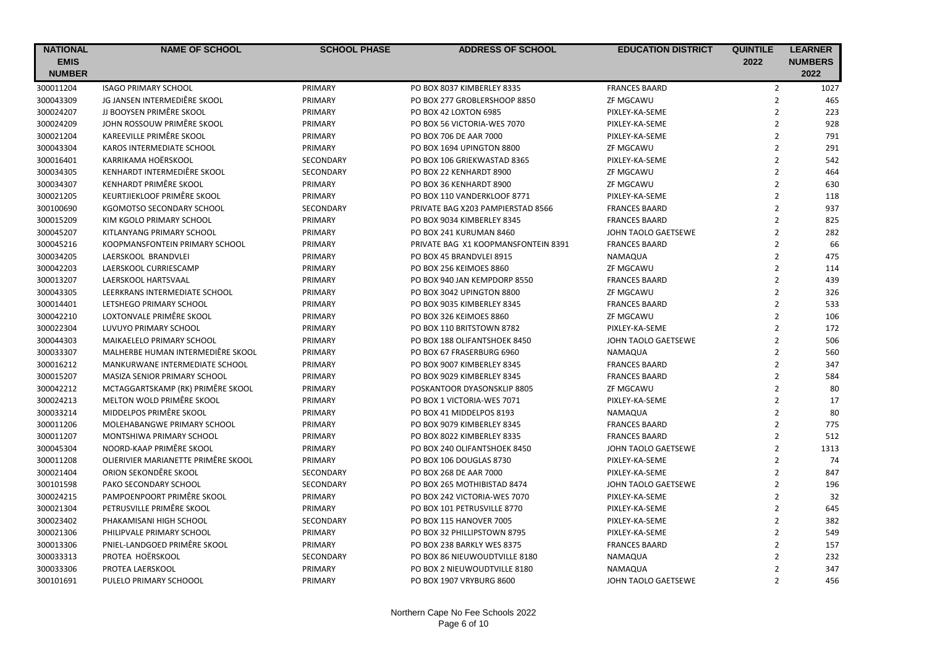| <b>NATIONAL</b> | <b>NAME OF SCHOOL</b>               | <b>SCHOOL PHASE</b> | <b>ADDRESS OF SCHOOL</b>            | <b>EDUCATION DISTRICT</b> | <b>QUINTILE</b> | <b>LEARNER</b> |
|-----------------|-------------------------------------|---------------------|-------------------------------------|---------------------------|-----------------|----------------|
| <b>EMIS</b>     |                                     |                     |                                     |                           | 2022            | <b>NUMBERS</b> |
| <b>NUMBER</b>   |                                     |                     |                                     |                           |                 | 2022           |
| 300011204       | <b>ISAGO PRIMARY SCHOOL</b>         | PRIMARY             | PO BOX 8037 KIMBERLEY 8335          | <b>FRANCES BAARD</b>      | $\overline{2}$  | 1027           |
| 300043309       | JG JANSEN INTERMEDIÊRE SKOOL        | PRIMARY             | PO BOX 277 GROBLERSHOOP 8850        | ZF MGCAWU                 | $\overline{2}$  | 465            |
| 300024207       | JJ BOOYSEN PRIMÊRE SKOOL            | PRIMARY             | PO BOX 42 LOXTON 6985               | PIXLEY-KA-SEME            | $\overline{2}$  | 223            |
| 300024209       | JOHN ROSSOUW PRIMÊRE SKOOL          | PRIMARY             | PO BOX 56 VICTORIA-WES 7070         | PIXLEY-KA-SEME            | $\overline{2}$  | 928            |
| 300021204       | KAREEVILLE PRIMÊRE SKOOL            | PRIMARY             | PO BOX 706 DE AAR 7000              | PIXLEY-KA-SEME            | $\overline{2}$  | 791            |
| 300043304       | KAROS INTERMEDIATE SCHOOL           | PRIMARY             | PO BOX 1694 UPINGTON 8800           | <b>ZF MGCAWU</b>          | $\overline{2}$  | 291            |
| 300016401       | KARRIKAMA HOËRSKOOL                 | SECONDARY           | PO BOX 106 GRIEKWASTAD 8365         | PIXLEY-KA-SEME            | $\overline{2}$  | 542            |
| 300034305       | KENHARDT INTERMEDIÊRE SKOOL         | SECONDARY           | PO BOX 22 KENHARDT 8900             | ZF MGCAWU                 | $\overline{2}$  | 464            |
| 300034307       | KENHARDT PRIMÊRE SKOOL              | PRIMARY             | PO BOX 36 KENHARDT 8900             | <b>ZF MGCAWU</b>          | $\overline{2}$  | 630            |
| 300021205       | KEURTJIEKLOOF PRIMÊRE SKOOL         | PRIMARY             | PO BOX 110 VANDERKLOOF 8771         | PIXLEY-KA-SEME            | $\overline{2}$  | 118            |
| 300100690       | KGOMOTSO SECONDARY SCHOOL           | SECONDARY           | PRIVATE BAG X203 PAMPIERSTAD 8566   | <b>FRANCES BAARD</b>      | $\overline{2}$  | 937            |
| 300015209       | KIM KGOLO PRIMARY SCHOOL            | PRIMARY             | PO BOX 9034 KIMBERLEY 8345          | <b>FRANCES BAARD</b>      | $\overline{2}$  | 825            |
| 300045207       | KITLANYANG PRIMARY SCHOOL           | PRIMARY             | PO BOX 241 KURUMAN 8460             | JOHN TAOLO GAETSEWE       | $\overline{2}$  | 282            |
| 300045216       | KOOPMANSFONTEIN PRIMARY SCHOOL      | PRIMARY             | PRIVATE BAG X1 KOOPMANSFONTEIN 8391 | <b>FRANCES BAARD</b>      | $\overline{2}$  | 66             |
| 300034205       | LAERSKOOL BRANDVLEI                 | PRIMARY             | PO BOX 45 BRANDVLEI 8915            | NAMAQUA                   | $\overline{2}$  | 475            |
| 300042203       | LAERSKOOL CURRIESCAMP               | PRIMARY             | PO BOX 256 KEIMOES 8860             | <b>ZF MGCAWU</b>          | $\overline{2}$  | 114            |
| 300013207       | LAERSKOOL HARTSVAAL                 | PRIMARY             | PO BOX 940 JAN KEMPDORP 8550        | <b>FRANCES BAARD</b>      | $\overline{2}$  | 439            |
| 300043305       | LEERKRANS INTERMEDIATE SCHOOL       | PRIMARY             | PO BOX 3042 UPINGTON 8800           | <b>ZF MGCAWU</b>          | $\overline{2}$  | 326            |
| 300014401       | LETSHEGO PRIMARY SCHOOL             | PRIMARY             | PO BOX 9035 KIMBERLEY 8345          | <b>FRANCES BAARD</b>      | $\overline{2}$  | 533            |
| 300042210       | LOXTONVALE PRIMÊRE SKOOL            | PRIMARY             | PO BOX 326 KEIMOES 8860             | ZF MGCAWU                 | $\overline{2}$  | 106            |
| 300022304       | LUVUYO PRIMARY SCHOOL               | PRIMARY             | PO BOX 110 BRITSTOWN 8782           | PIXLEY-KA-SEME            | $\overline{2}$  | 172            |
| 300044303       | MAIKAELELO PRIMARY SCHOOL           | PRIMARY             | PO BOX 188 OLIFANTSHOEK 8450        | JOHN TAOLO GAETSEWE       | $\overline{2}$  | 506            |
| 300033307       | MALHERBE HUMAN INTERMEDIÊRE SKOOL   | PRIMARY             | PO BOX 67 FRASERBURG 6960           | NAMAQUA                   | $\overline{2}$  | 560            |
| 300016212       | MANKURWANE INTERMEDIATE SCHOOL      | PRIMARY             | PO BOX 9007 KIMBERLEY 8345          | <b>FRANCES BAARD</b>      | $\overline{2}$  | 347            |
| 300015207       | MASIZA SENIOR PRIMARY SCHOOL        | PRIMARY             | PO BOX 9029 KIMBERLEY 8345          | <b>FRANCES BAARD</b>      | $\overline{2}$  | 584            |
| 300042212       | MCTAGGARTSKAMP (RK) PRIMÊRE SKOOL   | PRIMARY             | POSKANTOOR DYASONSKLIP 8805         | ZF MGCAWU                 | $\overline{2}$  | 80             |
| 300024213       | MELTON WOLD PRIMÊRE SKOOL           | PRIMARY             | PO BOX 1 VICTORIA-WES 7071          | PIXLEY-KA-SEME            | $\overline{2}$  | 17             |
| 300033214       | MIDDELPOS PRIMÊRE SKOOL             | PRIMARY             | PO BOX 41 MIDDELPOS 8193            | NAMAQUA                   | $\overline{2}$  | 80             |
| 300011206       | MOLEHABANGWE PRIMARY SCHOOL         | PRIMARY             | PO BOX 9079 KIMBERLEY 8345          | <b>FRANCES BAARD</b>      | $\overline{2}$  | 775            |
| 300011207       | MONTSHIWA PRIMARY SCHOOL            | PRIMARY             | PO BOX 8022 KIMBERLEY 8335          | <b>FRANCES BAARD</b>      | $\overline{2}$  | 512            |
| 300045304       | NOORD-KAAP PRIMÊRE SKOOL            | PRIMARY             | PO BOX 240 OLIFANTSHOEK 8450        | JOHN TAOLO GAETSEWE       | $\overline{2}$  | 1313           |
| 300011208       | OLIERIVIER MARIANETTE PRIMÊRE SKOOL | PRIMARY             | PO BOX 106 DOUGLAS 8730             | PIXLEY-KA-SEME            | $\overline{2}$  | 74             |
| 300021404       | ORION SEKONDÊRE SKOOL               | SECONDARY           | PO BOX 268 DE AAR 7000              | PIXLEY-KA-SEME            | $\overline{2}$  | 847            |
| 300101598       | PAKO SECONDARY SCHOOL               | SECONDARY           | PO BOX 265 MOTHIBISTAD 8474         | JOHN TAOLO GAETSEWE       | $\overline{2}$  | 196            |
| 300024215       | PAMPOENPOORT PRIMÊRE SKOOL          | PRIMARY             | PO BOX 242 VICTORIA-WES 7070        | PIXLEY-KA-SEME            | $\overline{2}$  | 32             |
| 300021304       | PETRUSVILLE PRIMÊRE SKOOL           | PRIMARY             | PO BOX 101 PETRUSVILLE 8770         | PIXLEY-KA-SEME            | $\overline{2}$  | 645            |
| 300023402       | PHAKAMISANI HIGH SCHOOL             | SECONDARY           | PO BOX 115 HANOVER 7005             | PIXLEY-KA-SEME            | $\overline{2}$  | 382            |
| 300021306       | PHILIPVALE PRIMARY SCHOOL           | PRIMARY             | PO BOX 32 PHILLIPSTOWN 8795         | PIXLEY-KA-SEME            | $\overline{2}$  | 549            |
| 300013306       | PNIEL-LANDGOED PRIMÊRE SKOOL        | PRIMARY             | PO BOX 238 BARKLY WES 8375          | <b>FRANCES BAARD</b>      | $\overline{2}$  | 157            |
| 300033313       | PROTEA HOËRSKOOL                    | SECONDARY           | PO BOX 86 NIEUWOUDTVILLE 8180       | NAMAQUA                   | $\overline{2}$  | 232            |
| 300033306       | PROTEA LAERSKOOL                    | PRIMARY             | PO BOX 2 NIEUWOUDTVILLE 8180        | NAMAQUA                   | $\overline{2}$  | 347            |
| 300101691       | PULELO PRIMARY SCHOOOL              | PRIMARY             | PO BOX 1907 VRYBURG 8600            | JOHN TAOLO GAETSEWE       | $\overline{2}$  | 456            |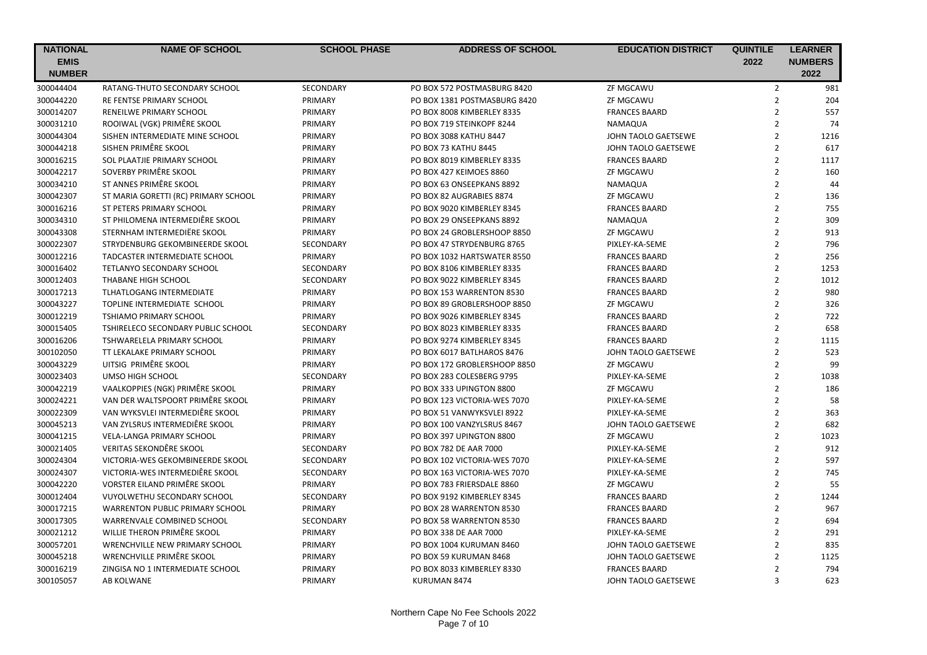| <b>NATIONAL</b> | <b>NAME OF SCHOOL</b>                | <b>SCHOOL PHASE</b> | <b>ADDRESS OF SCHOOL</b>     | <b>EDUCATION DISTRICT</b> | <b>QUINTILE</b> | <b>LEARNER</b> |
|-----------------|--------------------------------------|---------------------|------------------------------|---------------------------|-----------------|----------------|
| <b>EMIS</b>     |                                      |                     |                              |                           | 2022            | <b>NUMBERS</b> |
| <b>NUMBER</b>   |                                      |                     |                              |                           |                 | 2022           |
| 300044404       | RATANG-THUTO SECONDARY SCHOOL        | SECONDARY           | PO BOX 572 POSTMASBURG 8420  | ZF MGCAWU                 | $\overline{2}$  | 981            |
| 300044220       | <b>RE FENTSE PRIMARY SCHOOL</b>      | PRIMARY             | PO BOX 1381 POSTMASBURG 8420 | ZF MGCAWU                 | $\overline{2}$  | 204            |
| 300014207       | RENEILWE PRIMARY SCHOOL              | PRIMARY             | PO BOX 8008 KIMBERLEY 8335   | <b>FRANCES BAARD</b>      | $\overline{2}$  | 557            |
| 300031210       | ROOIWAL (VGK) PRIMÊRE SKOOL          | PRIMARY             | PO BOX 719 STEINKOPF 8244    | NAMAQUA                   | $\overline{2}$  | 74             |
| 300044304       | SISHEN INTERMEDIATE MINE SCHOOL      | PRIMARY             | PO BOX 3088 KATHU 8447       | JOHN TAOLO GAETSEWE       | $\overline{2}$  | 1216           |
| 300044218       | SISHEN PRIMÊRE SKOOL                 | PRIMARY             | PO BOX 73 KATHU 8445         | JOHN TAOLO GAETSEWE       | $\overline{2}$  | 617            |
| 300016215       | SOL PLAATJIE PRIMARY SCHOOL          | PRIMARY             | PO BOX 8019 KIMBERLEY 8335   | <b>FRANCES BAARD</b>      | $\overline{2}$  | 1117           |
| 300042217       | SOVERBY PRIMÊRE SKOOL                | PRIMARY             | PO BOX 427 KEIMOES 8860      | ZF MGCAWU                 | $\overline{2}$  | 160            |
| 300034210       | ST ANNES PRIMÊRE SKOOL               | PRIMARY             | PO BOX 63 ONSEEPKANS 8892    | NAMAQUA                   | $\overline{2}$  | 44             |
| 300042307       | ST MARIA GORETTI (RC) PRIMARY SCHOOL | PRIMARY             | PO BOX 82 AUGRABIES 8874     | ZF MGCAWU                 | $\overline{2}$  | 136            |
| 300016216       | ST PETERS PRIMARY SCHOOL             | PRIMARY             | PO BOX 9020 KIMBERLEY 8345   | <b>FRANCES BAARD</b>      | $\overline{2}$  | 755            |
| 300034310       | ST PHILOMENA INTERMEDIÊRE SKOOL      | PRIMARY             | PO BOX 29 ONSEEPKANS 8892    | NAMAQUA                   | $\overline{2}$  | 309            |
| 300043308       | STERNHAM INTERMEDIËRE SKOOL          | PRIMARY             | PO BOX 24 GROBLERSHOOP 8850  | ZF MGCAWU                 | $\overline{2}$  | 913            |
| 300022307       | STRYDENBURG GEKOMBINEERDE SKOOL      | SECONDARY           | PO BOX 47 STRYDENBURG 8765   | PIXLEY-KA-SEME            | $\overline{2}$  | 796            |
| 300012216       | <b>TADCASTER INTERMEDIATE SCHOOL</b> | PRIMARY             | PO BOX 1032 HARTSWATER 8550  | <b>FRANCES BAARD</b>      | $\overline{2}$  | 256            |
| 300016402       | TETLANYO SECONDARY SCHOOL            | SECONDARY           | PO BOX 8106 KIMBERLEY 8335   | <b>FRANCES BAARD</b>      | $\overline{2}$  | 1253           |
| 300012403       | THABANE HIGH SCHOOL                  | SECONDARY           | PO BOX 9022 KIMBERLEY 8345   | <b>FRANCES BAARD</b>      | $\overline{2}$  | 1012           |
| 300017213       | <b>TLHATLOGANG INTERMEDIATE</b>      | PRIMARY             | PO BOX 153 WARRENTON 8530    | <b>FRANCES BAARD</b>      | $\overline{2}$  | 980            |
| 300043227       | TOPLINE INTERMEDIATE SCHOOL          | PRIMARY             | PO BOX 89 GROBLERSHOOP 8850  | ZF MGCAWU                 | $\overline{2}$  | 326            |
| 300012219       | TSHIAMO PRIMARY SCHOOL               | PRIMARY             | PO BOX 9026 KIMBERLEY 8345   | <b>FRANCES BAARD</b>      | $\overline{2}$  | 722            |
| 300015405       | TSHIRELECO SECONDARY PUBLIC SCHOOL   | SECONDARY           | PO BOX 8023 KIMBERLEY 8335   | <b>FRANCES BAARD</b>      | $\overline{2}$  | 658            |
| 300016206       | <b>TSHWARELELA PRIMARY SCHOOL</b>    | PRIMARY             | PO BOX 9274 KIMBERLEY 8345   | <b>FRANCES BAARD</b>      | $\overline{2}$  | 1115           |
| 300102050       | TT LEKALAKE PRIMARY SCHOOL           | PRIMARY             | PO BOX 6017 BATLHAROS 8476   | JOHN TAOLO GAETSEWE       | $\overline{2}$  | 523            |
| 300043229       | UITSIG PRIMÊRE SKOOL                 | PRIMARY             | PO BOX 172 GROBLERSHOOP 8850 | ZF MGCAWU                 | $\overline{2}$  | 99             |
| 300023403       | UMSO HIGH SCHOOL                     | SECONDARY           | PO BOX 283 COLESBERG 9795    | PIXLEY-KA-SEME            | $\overline{2}$  | 1038           |
| 300042219       | VAALKOPPIES (NGK) PRIMÊRE SKOOL      | PRIMARY             | PO BOX 333 UPINGTON 8800     | ZF MGCAWU                 | $\overline{2}$  | 186            |
| 300024221       | VAN DER WALTSPOORT PRIMÊRE SKOOL     | PRIMARY             | PO BOX 123 VICTORIA-WES 7070 | PIXLEY-KA-SEME            | $\overline{2}$  | 58             |
| 300022309       | VAN WYKSVLEI INTERMEDIÊRE SKOOL      | PRIMARY             | PO BOX 51 VANWYKSVLEI 8922   | PIXLEY-KA-SEME            | $\overline{2}$  | 363            |
| 300045213       | VAN ZYLSRUS INTERMEDIÊRE SKOOL       | PRIMARY             | PO BOX 100 VANZYLSRUS 8467   | JOHN TAOLO GAETSEWE       | $\overline{2}$  | 682            |
| 300041215       | VELA-LANGA PRIMARY SCHOOL            | PRIMARY             | PO BOX 397 UPINGTON 8800     | ZF MGCAWU                 | $\overline{2}$  | 1023           |
| 300021405       | VERITAS SEKONDÊRE SKOOL              | SECONDARY           | PO BOX 782 DE AAR 7000       | PIXLEY-KA-SEME            | $\overline{2}$  | 912            |
| 300024304       | VICTORIA-WES GEKOMBINEERDE SKOOL     | <b>SECONDARY</b>    | PO BOX 102 VICTORIA-WES 7070 | PIXLEY-KA-SEME            | $\overline{2}$  | 597            |
| 300024307       | VICTORIA-WES INTERMEDIÊRE SKOOL      | SECONDARY           | PO BOX 163 VICTORIA-WES 7070 | PIXLEY-KA-SEME            | $\overline{2}$  | 745            |
| 300042220       | VORSTER EILAND PRIMÊRE SKOOL         | PRIMARY             | PO BOX 783 FRIERSDALE 8860   | ZF MGCAWU                 | $\mathbf 2$     | 55             |
| 300012404       | <b>VUYOLWETHU SECONDARY SCHOOL</b>   | <b>SECONDARY</b>    | PO BOX 9192 KIMBERLEY 8345   | <b>FRANCES BAARD</b>      | $\overline{2}$  | 1244           |
| 300017215       | WARRENTON PUBLIC PRIMARY SCHOOL      | PRIMARY             | PO BOX 28 WARRENTON 8530     | <b>FRANCES BAARD</b>      | $\overline{2}$  | 967            |
| 300017305       | WARRENVALE COMBINED SCHOOL           | SECONDARY           | PO BOX 58 WARRENTON 8530     | <b>FRANCES BAARD</b>      | $\overline{2}$  | 694            |
| 300021212       | WILLIE THERON PRIMÊRE SKOOL          | PRIMARY             | PO BOX 338 DE AAR 7000       | PIXLEY-KA-SEME            | $\overline{2}$  | 291            |
| 300057201       | WRENCHVILLE NEW PRIMARY SCHOOL       | PRIMARY             | PO BOX 1004 KURUMAN 8460     | JOHN TAOLO GAETSEWE       | $\overline{2}$  | 835            |
| 300045218       | WRENCHVILLE PRIMÊRE SKOOL            | PRIMARY             | PO BOX 59 KURUMAN 8468       | JOHN TAOLO GAETSEWE       | $\overline{2}$  | 1125           |
| 300016219       | ZINGISA NO 1 INTERMEDIATE SCHOOL     | PRIMARY             | PO BOX 8033 KIMBERLEY 8330   | <b>FRANCES BAARD</b>      | $\overline{2}$  | 794            |
| 300105057       | AB KOLWANE                           | <b>PRIMARY</b>      | KURUMAN 8474                 | JOHN TAOLO GAETSEWE       | $\overline{3}$  | 623            |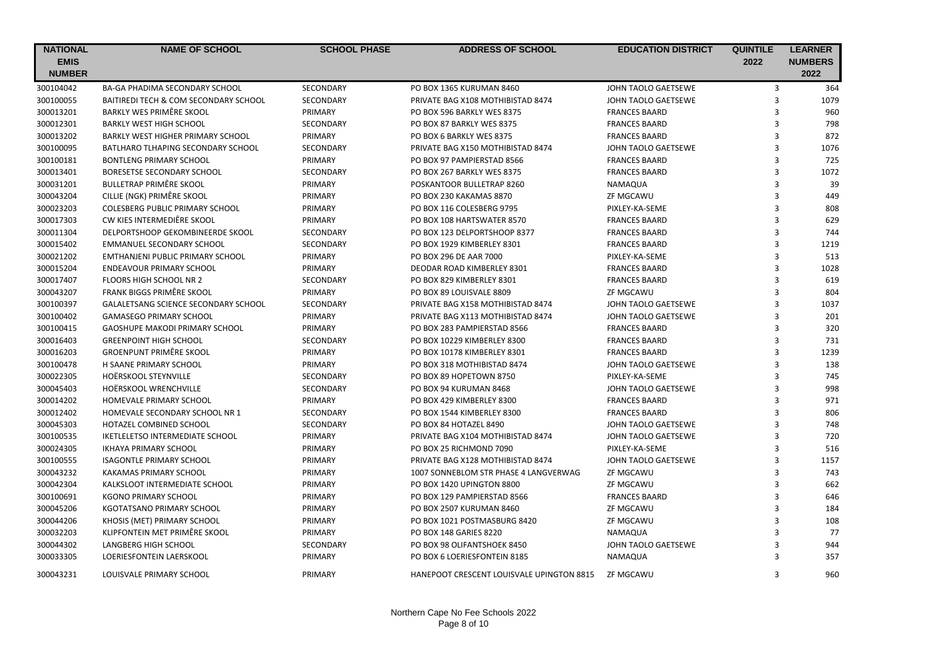| <b>NATIONAL</b><br><b>EMIS</b> | <b>NAME OF SCHOOL</b>                   | <b>SCHOOL PHASE</b> | <b>ADDRESS OF SCHOOL</b>                  | <b>EDUCATION DISTRICT</b> | <b>QUINTILE</b><br>2022 | <b>LEARNER</b><br><b>NUMBERS</b> |
|--------------------------------|-----------------------------------------|---------------------|-------------------------------------------|---------------------------|-------------------------|----------------------------------|
| <b>NUMBER</b>                  |                                         |                     |                                           |                           |                         | 2022                             |
| 300104042                      | BA-GA PHADIMA SECONDARY SCHOOL          | SECONDARY           | PO BOX 1365 KURUMAN 8460                  | JOHN TAOLO GAETSEWE       | 3                       | 364                              |
| 300100055                      | BAITIREDI TECH & COM SECONDARY SCHOOL   | SECONDARY           | PRIVATE BAG X108 MOTHIBISTAD 8474         | JOHN TAOLO GAETSEWE       | 3                       | 1079                             |
| 300013201                      | BARKLY WES PRIMÊRE SKOOL                | PRIMARY             | PO BOX 596 BARKLY WES 8375                | <b>FRANCES BAARD</b>      | 3                       | 960                              |
| 300012301                      | <b>BARKLY WEST HIGH SCHOOL</b>          | SECONDARY           | PO BOX 87 BARKLY WES 8375                 | <b>FRANCES BAARD</b>      | 3                       | 798                              |
| 300013202                      | BARKLY WEST HIGHER PRIMARY SCHOOL       | PRIMARY             | PO BOX 6 BARKLY WES 8375                  | <b>FRANCES BAARD</b>      | 3                       | 872                              |
| 300100095                      | BATLHARO TLHAPING SECONDARY SCHOOL      | SECONDARY           | PRIVATE BAG X150 MOTHIBISTAD 8474         | JOHN TAOLO GAETSEWE       | 3                       | 1076                             |
| 300100181                      | <b>BONTLENG PRIMARY SCHOOL</b>          | PRIMARY             | PO BOX 97 PAMPIERSTAD 8566                | <b>FRANCES BAARD</b>      | 3                       | 725                              |
| 300013401                      | BORESETSE SECONDARY SCHOOL              | SECONDARY           | PO BOX 267 BARKLY WES 8375                | <b>FRANCES BAARD</b>      | 3                       | 1072                             |
| 300031201                      | <b>BULLETRAP PRIMÊRE SKOOL</b>          | PRIMARY             | POSKANTOOR BULLETRAP 8260                 | NAMAQUA                   | 3                       | 39                               |
| 300043204                      | CILLIE (NGK) PRIMÊRE SKOOL              | PRIMARY             | PO BOX 230 KAKAMAS 8870                   | ZF MGCAWU                 | 3                       | 449                              |
| 300023203                      | COLESBERG PUBLIC PRIMARY SCHOOL         | PRIMARY             | PO BOX 116 COLESBERG 9795                 | PIXLEY-KA-SEME            | 3                       | 808                              |
| 300017303                      | CW KIES INTERMEDIÊRE SKOOL              | PRIMARY             | PO BOX 108 HARTSWATER 8570                | <b>FRANCES BAARD</b>      | 3                       | 629                              |
| 300011304                      | DELPORTSHOOP GEKOMBINEERDE SKOOL        | SECONDARY           | PO BOX 123 DELPORTSHOOP 8377              | <b>FRANCES BAARD</b>      | 3                       | 744                              |
| 300015402                      | EMMANUEL SECONDARY SCHOOL               | SECONDARY           | PO BOX 1929 KIMBERLEY 8301                | <b>FRANCES BAARD</b>      | $\overline{3}$          | 1219                             |
| 300021202                      | <b>EMTHANJENI PUBLIC PRIMARY SCHOOL</b> | PRIMARY             | PO BOX 296 DE AAR 7000                    | PIXLEY-KA-SEME            | $\overline{3}$          | 513                              |
| 300015204                      | ENDEAVOUR PRIMARY SCHOOL                | PRIMARY             | DEODAR ROAD KIMBERLEY 8301                | <b>FRANCES BAARD</b>      | 3                       | 1028                             |
| 300017407                      | FLOORS HIGH SCHOOL NR 2                 | SECONDARY           | PO BOX 829 KIMBERLEY 8301                 | <b>FRANCES BAARD</b>      | 3                       | 619                              |
| 300043207                      | FRANK BIGGS PRIMÊRE SKOOL               | PRIMARY             | PO BOX 89 LOUISVALE 8809                  | ZF MGCAWU                 | 3                       | 804                              |
| 300100397                      | GALALETSANG SCIENCE SECONDARY SCHOOL    | SECONDARY           | PRIVATE BAG X158 MOTHIBISTAD 8474         | JOHN TAOLO GAETSEWE       | 3                       | 1037                             |
| 300100402                      | <b>GAMASEGO PRIMARY SCHOOL</b>          | PRIMARY             | PRIVATE BAG X113 MOTHIBISTAD 8474         | JOHN TAOLO GAETSEWE       | 3                       | 201                              |
| 300100415                      | GAOSHUPE MAKODI PRIMARY SCHOOL          | PRIMARY             | PO BOX 283 PAMPIERSTAD 8566               | <b>FRANCES BAARD</b>      | 3                       | 320                              |
| 300016403                      | <b>GREENPOINT HIGH SCHOOL</b>           | <b>SECONDARY</b>    | PO BOX 10229 KIMBERLEY 8300               | <b>FRANCES BAARD</b>      | 3                       | 731                              |
| 300016203                      | <b>GROENPUNT PRIMÊRE SKOOL</b>          | PRIMARY             | PO BOX 10178 KIMBERLEY 8301               | <b>FRANCES BAARD</b>      | 3                       | 1239                             |
| 300100478                      | H SAANE PRIMARY SCHOOL                  | PRIMARY             | PO BOX 318 MOTHIBISTAD 8474               | JOHN TAOLO GAETSEWE       | $\overline{3}$          | 138                              |
| 300022305                      | <b>HOËRSKOOL STEYNVILLE</b>             | <b>SECONDARY</b>    | PO BOX 89 HOPETOWN 8750                   | PIXLEY-KA-SEME            | 3                       | 745                              |
| 300045403                      | HOËRSKOOL WRENCHVILLE                   | SECONDARY           | PO BOX 94 KURUMAN 8468                    | JOHN TAOLO GAETSEWE       | 3                       | 998                              |
| 300014202                      | <b>HOMEVALE PRIMARY SCHOOL</b>          | PRIMARY             | PO BOX 429 KIMBERLEY 8300                 | <b>FRANCES BAARD</b>      | 3                       | 971                              |
| 300012402                      | HOMEVALE SECONDARY SCHOOL NR 1          | <b>SECONDARY</b>    | PO BOX 1544 KIMBERLEY 8300                | <b>FRANCES BAARD</b>      | 3                       | 806                              |
| 300045303                      | HOTAZEL COMBINED SCHOOL                 | SECONDARY           | PO BOX 84 HOTAZEL 8490                    | JOHN TAOLO GAETSEWE       | 3                       | 748                              |
| 300100535                      | <b>IKETLELETSO INTERMEDIATE SCHOOL</b>  | PRIMARY             | PRIVATE BAG X104 MOTHIBISTAD 8474         | JOHN TAOLO GAETSEWE       | $\overline{3}$          | 720                              |
| 300024305                      | <b>IKHAYA PRIMARY SCHOOL</b>            | PRIMARY             | PO BOX 25 RICHMOND 7090                   | PIXLEY-KA-SEME            | 3                       | 516                              |
| 300100555                      | <b>ISAGONTLE PRIMARY SCHOOL</b>         | PRIMARY             | PRIVATE BAG X128 MOTHIBISTAD 8474         | JOHN TAOLO GAETSEWE       | 3                       | 1157                             |
| 300043232                      | KAKAMAS PRIMARY SCHOOL                  | PRIMARY             | 1007 SONNEBLOM STR PHASE 4 LANGVERWAG     | ZF MGCAWU                 | 3                       | 743                              |
| 300042304                      | KALKSLOOT INTERMEDIATE SCHOOL           | PRIMARY             | PO BOX 1420 UPINGTON 8800                 | <b>ZF MGCAWU</b>          | 3                       | 662                              |
| 300100691                      | <b>KGONO PRIMARY SCHOOL</b>             | PRIMARY             | PO BOX 129 PAMPIERSTAD 8566               | <b>FRANCES BAARD</b>      | $\overline{3}$          | 646                              |
| 300045206                      | KGOTATSANO PRIMARY SCHOOL               | PRIMARY             | PO BOX 2507 KURUMAN 8460                  | ZF MGCAWU                 | 3                       | 184                              |
| 300044206                      | KHOSIS (MET) PRIMARY SCHOOL             | PRIMARY             | PO BOX 1021 POSTMASBURG 8420              | ZF MGCAWU                 | $\overline{3}$          | 108                              |
| 300032203                      | KLIPFONTEIN MET PRIMÊRE SKOOL           | PRIMARY             | PO BOX 148 GARIES 8220                    | NAMAQUA                   | $\overline{3}$          | 77                               |
| 300044302                      | LANGBERG HIGH SCHOOL                    | SECONDARY           | PO BOX 98 OLIFANTSHOEK 8450               | JOHN TAOLO GAETSEWE       | 3                       | 944                              |
| 300033305                      | <b>LOERIESFONTEIN LAERSKOOL</b>         | PRIMARY             | PO BOX 6 LOERIESFONTEIN 8185              | NAMAQUA                   | 3                       | 357                              |
| 300043231                      | LOUISVALE PRIMARY SCHOOL                | PRIMARY             | HANEPOOT CRESCENT LOUISVALE UPINGTON 8815 | <b>ZF MGCAWU</b>          | 3                       | 960                              |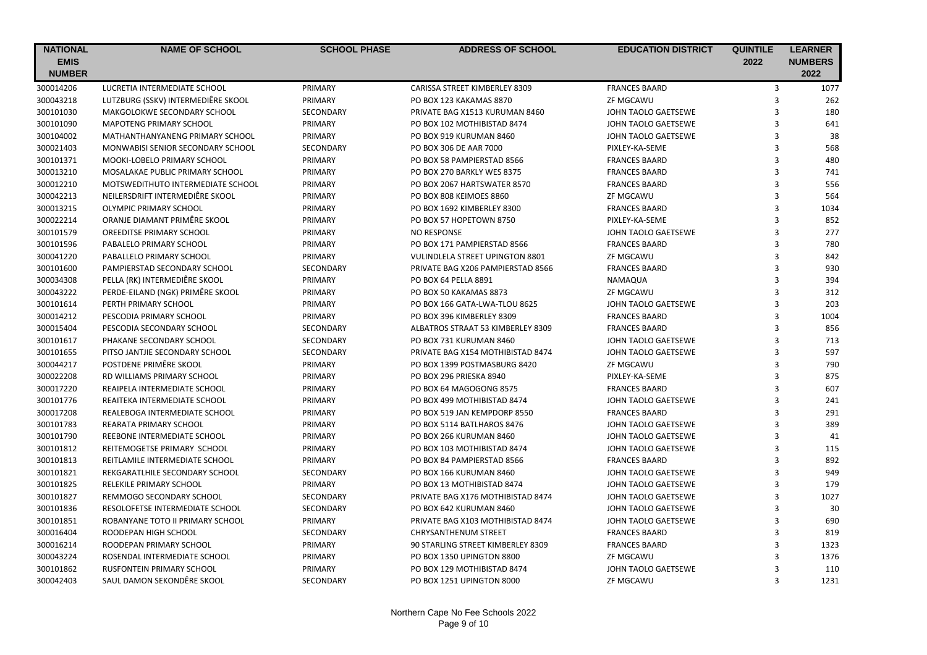| <b>NATIONAL</b> | <b>NAME OF SCHOOL</b>              | <b>SCHOOL PHASE</b> | <b>ADDRESS OF SCHOOL</b>          | <b>EDUCATION DISTRICT</b> | <b>QUINTILE</b> | <b>LEARNER</b> |
|-----------------|------------------------------------|---------------------|-----------------------------------|---------------------------|-----------------|----------------|
| <b>EMIS</b>     |                                    |                     |                                   |                           | 2022            | <b>NUMBERS</b> |
| <b>NUMBER</b>   |                                    |                     |                                   |                           |                 | 2022           |
| 300014206       | LUCRETIA INTERMEDIATE SCHOOL       | PRIMARY             | CARISSA STREET KIMBERLEY 8309     | <b>FRANCES BAARD</b>      | $\mathsf 3$     | 1077           |
| 300043218       | LUTZBURG (SSKV) INTERMEDIÊRE SKOOL | PRIMARY             | PO BOX 123 KAKAMAS 8870           | ZF MGCAWU                 | 3               | 262            |
| 300101030       | MAKGOLOKWE SECONDARY SCHOOL        | SECONDARY           | PRIVATE BAG X1513 KURUMAN 8460    | JOHN TAOLO GAETSEWE       | 3               | 180            |
| 300101090       | <b>MAPOTENG PRIMARY SCHOOL</b>     | PRIMARY             | PO BOX 102 MOTHIBISTAD 8474       | JOHN TAOLO GAETSEWE       | 3               | 641            |
| 300104002       | MATHANTHANYANENG PRIMARY SCHOOL    | PRIMARY             | PO BOX 919 KURUMAN 8460           | JOHN TAOLO GAETSEWE       | 3               | 38             |
| 300021403       | MONWABISI SENIOR SECONDARY SCHOOL  | <b>SECONDARY</b>    | PO BOX 306 DE AAR 7000            | PIXLEY-KA-SEME            | 3               | 568            |
| 300101371       | MOOKI-LOBELO PRIMARY SCHOOL        | PRIMARY             | PO BOX 58 PAMPIERSTAD 8566        | <b>FRANCES BAARD</b>      | 3               | 480            |
| 300013210       | MOSALAKAE PUBLIC PRIMARY SCHOOL    | PRIMARY             | PO BOX 270 BARKLY WES 8375        | <b>FRANCES BAARD</b>      | 3               | 741            |
| 300012210       | MOTSWEDITHUTO INTERMEDIATE SCHOOL  | PRIMARY             | PO BOX 2067 HARTSWATER 8570       | <b>FRANCES BAARD</b>      | 3               | 556            |
| 300042213       | NEILERSDRIFT INTERMEDIÊRE SKOOL    | PRIMARY             | PO BOX 808 KEIMOES 8860           | ZF MGCAWU                 | 3               | 564            |
| 300013215       | OLYMPIC PRIMARY SCHOOL             | PRIMARY             | PO BOX 1692 KIMBERLEY 8300        | <b>FRANCES BAARD</b>      | $\overline{3}$  | 1034           |
| 300022214       | ORANJE DIAMANT PRIMÊRE SKOOL       | PRIMARY             | PO BOX 57 HOPETOWN 8750           | PIXLEY-KA-SEME            | 3               | 852            |
| 300101579       | OREEDITSE PRIMARY SCHOOL           | PRIMARY             | NO RESPONSE                       | JOHN TAOLO GAETSEWE       | 3               | 277            |
| 300101596       | PABALELO PRIMARY SCHOOL            | PRIMARY             | PO BOX 171 PAMPIERSTAD 8566       | <b>FRANCES BAARD</b>      | 3               | 780            |
| 300041220       | PABALLELO PRIMARY SCHOOL           | PRIMARY             | VULINDLELA STREET UPINGTON 8801   | ZF MGCAWU                 | 3               | 842            |
| 300101600       | PAMPIERSTAD SECONDARY SCHOOL       | <b>SECONDARY</b>    | PRIVATE BAG X206 PAMPIERSTAD 8566 | <b>FRANCES BAARD</b>      | 3               | 930            |
| 300034308       | PELLA (RK) INTERMEDIÊRE SKOOL      | PRIMARY             | PO BOX 64 PELLA 8891              | NAMAQUA                   | 3               | 394            |
| 300043222       | PERDE-EILAND (NGK) PRIMÊRE SKOOL   | PRIMARY             | PO BOX 50 KAKAMAS 8873            | ZF MGCAWU                 | 3               | 312            |
| 300101614       | PERTH PRIMARY SCHOOL               | PRIMARY             | PO BOX 166 GATA-LWA-TLOU 8625     | JOHN TAOLO GAETSEWE       | 3               | 203            |
| 300014212       | PESCODIA PRIMARY SCHOOL            | PRIMARY             | PO BOX 396 KIMBERLEY 8309         | <b>FRANCES BAARD</b>      | 3               | 1004           |
| 300015404       | PESCODIA SECONDARY SCHOOL          | SECONDARY           | ALBATROS STRAAT 53 KIMBERLEY 8309 | <b>FRANCES BAARD</b>      | 3               | 856            |
| 300101617       | PHAKANE SECONDARY SCHOOL           | SECONDARY           | PO BOX 731 KURUMAN 8460           | JOHN TAOLO GAETSEWE       | 3               | 713            |
| 300101655       | PITSO JANTJIE SECONDARY SCHOOL     | SECONDARY           | PRIVATE BAG X154 MOTHIBISTAD 8474 | JOHN TAOLO GAETSEWE       | $\overline{3}$  | 597            |
| 300044217       | POSTDENE PRIMÊRE SKOOL             | PRIMARY             | PO BOX 1399 POSTMASBURG 8420      | <b>ZF MGCAWU</b>          | 3               | 790            |
| 300022208       | RD WILLIAMS PRIMARY SCHOOL         | PRIMARY             | PO BOX 296 PRIESKA 8940           | PIXLEY-KA-SEME            | 3               | 875            |
| 300017220       | REAIPELA INTERMEDIATE SCHOOL       | PRIMARY             | PO BOX 64 MAGOGONG 8575           | <b>FRANCES BAARD</b>      | 3               | 607            |
| 300101776       | REAITEKA INTERMEDIATE SCHOOL       | PRIMARY             | PO BOX 499 MOTHIBISTAD 8474       | JOHN TAOLO GAETSEWE       | 3               | 241            |
| 300017208       | REALEBOGA INTERMEDIATE SCHOOL      | PRIMARY             | PO BOX 519 JAN KEMPDORP 8550      | <b>FRANCES BAARD</b>      | 3               | 291            |
| 300101783       | <b>REARATA PRIMARY SCHOOL</b>      | PRIMARY             | PO BOX 5114 BATLHAROS 8476        | JOHN TAOLO GAETSEWE       | 3               | 389            |
| 300101790       | REEBONE INTERMEDIATE SCHOOL        | PRIMARY             | PO BOX 266 KURUMAN 8460           | JOHN TAOLO GAETSEWE       | 3               | 41             |
| 300101812       | REITEMOGETSE PRIMARY SCHOOL        | PRIMARY             | PO BOX 103 MOTHIBISTAD 8474       | JOHN TAOLO GAETSEWE       | 3               | 115            |
| 300101813       | REITLAMILE INTERMEDIATE SCHOOL     | PRIMARY             | PO BOX 84 PAMPIERSTAD 8566        | <b>FRANCES BAARD</b>      | 3               | 892            |
| 300101821       | REKGARATLHILE SECONDARY SCHOOL     | SECONDARY           | PO BOX 166 KURUMAN 8460           | JOHN TAOLO GAETSEWE       | 3               | 949            |
| 300101825       | RELEKILE PRIMARY SCHOOL            | PRIMARY             | PO BOX 13 MOTHIBISTAD 8474        | JOHN TAOLO GAETSEWE       | 3               | 179            |
| 300101827       | REMMOGO SECONDARY SCHOOL           | SECONDARY           | PRIVATE BAG X176 MOTHIBISTAD 8474 | JOHN TAOLO GAETSEWE       | 3               | 1027           |
| 300101836       | RESOLOFETSE INTERMEDIATE SCHOOL    | <b>SECONDARY</b>    | PO BOX 642 KURUMAN 8460           | JOHN TAOLO GAETSEWE       | 3               | 30             |
| 300101851       | ROBANYANE TOTO II PRIMARY SCHOOL   | PRIMARY             | PRIVATE BAG X103 MOTHIBISTAD 8474 | JOHN TAOLO GAETSEWE       | 3               | 690            |
| 300016404       | ROODEPAN HIGH SCHOOL               | SECONDARY           | <b>CHRYSANTHENUM STREET</b>       | <b>FRANCES BAARD</b>      | 3               | 819            |
| 300016214       | ROODEPAN PRIMARY SCHOOL            | PRIMARY             | 90 STARLING STREET KIMBERLEY 8309 | <b>FRANCES BAARD</b>      | 3               | 1323           |
| 300043224       | ROSENDAL INTERMEDIATE SCHOOL       | PRIMARY             | PO BOX 1350 UPINGTON 8800         | ZF MGCAWU                 | 3               | 1376           |
| 300101862       | RUSFONTEIN PRIMARY SCHOOL          | PRIMARY             | PO BOX 129 MOTHIBISTAD 8474       | JOHN TAOLO GAETSEWE       | 3               | 110            |
| 300042403       | SAUL DAMON SEKONDÊRE SKOOL         | SECONDARY           | PO BOX 1251 UPINGTON 8000         | ZF MGCAWU                 | 3               | 1231           |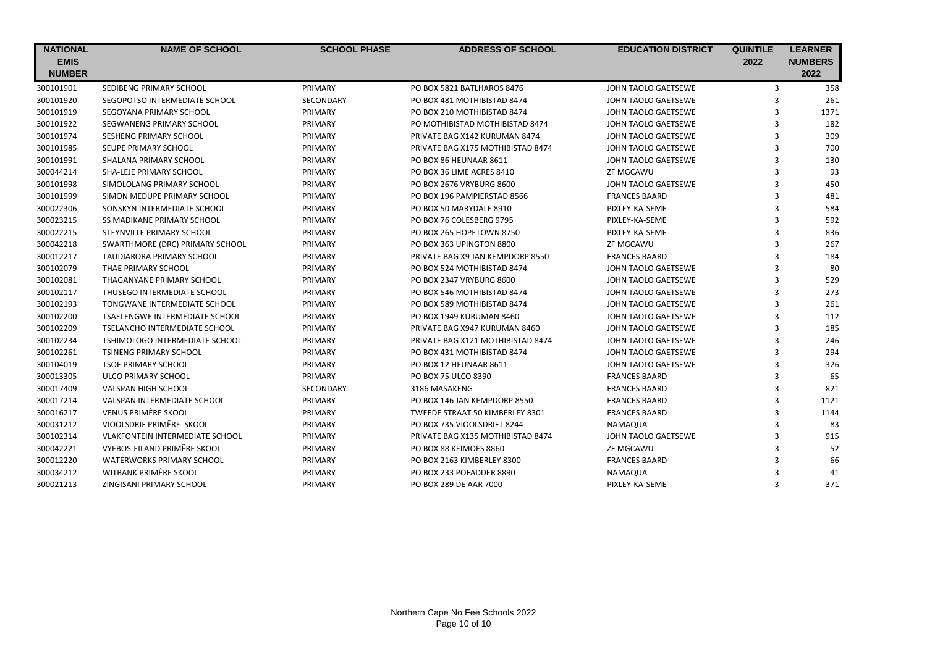| <b>NATIONAL</b> | <b>NAME OF SCHOOL</b>                  | <b>SCHOOL PHASE</b> | <b>ADDRESS OF SCHOOL</b>          | <b>EDUCATION DISTRICT</b> | <b>QUINTILE</b> | <b>LEARNER</b> |
|-----------------|----------------------------------------|---------------------|-----------------------------------|---------------------------|-----------------|----------------|
| <b>EMIS</b>     |                                        |                     |                                   |                           | 2022            | <b>NUMBERS</b> |
| <b>NUMBER</b>   |                                        |                     |                                   |                           |                 | 2022           |
| 300101901       | SEDIBENG PRIMARY SCHOOL                | PRIMARY             | PO BOX 5821 BATLHAROS 8476        | JOHN TAOLO GAETSEWE       | 3               | 358            |
| 300101920       | SEGOPOTSO INTERMEDIATE SCHOOL          | SECONDARY           | PO BOX 481 MOTHIBISTAD 8474       | JOHN TAOLO GAETSEWE       | 3               | 261            |
| 300101919       | SEGOYANA PRIMARY SCHOOL                | PRIMARY             | PO BOX 210 MOTHIBISTAD 8474       | JOHN TAOLO GAETSEWE       | 3               | 1371           |
| 300101922       | SEGWANENG PRIMARY SCHOOL               | PRIMARY             | PO MOTHIBISTAD MOTHIBISTAD 8474   | JOHN TAOLO GAETSEWE       | 3               | 182            |
| 300101974       | <b>SESHENG PRIMARY SCHOOL</b>          | PRIMARY             | PRIVATE BAG X142 KURUMAN 8474     | JOHN TAOLO GAETSEWE       | 3               | 309            |
| 300101985       | SEUPE PRIMARY SCHOOL                   | PRIMARY             | PRIVATE BAG X175 MOTHIBISTAD 8474 | JOHN TAOLO GAETSEWE       | 3               | 700            |
| 300101991       | SHALANA PRIMARY SCHOOL                 | PRIMARY             | PO BOX 86 HEUNAAR 8611            | JOHN TAOLO GAETSEWE       | 3               | 130            |
| 300044214       | SHA-LEJE PRIMARY SCHOOL                | PRIMARY             | PO BOX 36 LIME ACRES 8410         | <b>ZF MGCAWU</b>          | 3               | 93             |
| 300101998       | SIMOLOLANG PRIMARY SCHOOL              | PRIMARY             | PO BOX 2676 VRYBURG 8600          | JOHN TAOLO GAETSEWE       | 3               | 450            |
| 300101999       | SIMON MEDUPE PRIMARY SCHOOL            | PRIMARY             | PO BOX 196 PAMPIERSTAD 8566       | <b>FRANCES BAARD</b>      | 3               | 481            |
| 300022306       | SONSKYN INTERMEDIATE SCHOOL            | PRIMARY             | PO BOX 50 MARYDALE 8910           | PIXLEY-KA-SEME            | 3               | 584            |
| 300023215       | <b>SS MADIKANE PRIMARY SCHOOL</b>      | PRIMARY             | PO BOX 76 COLESBERG 9795          | PIXLEY-KA-SEME            | 3               | 592            |
| 300022215       | STEYNVILLE PRIMARY SCHOOL              | PRIMARY             | PO BOX 265 HOPETOWN 8750          | PIXLEY-KA-SEME            | 3               | 836            |
| 300042218       | SWARTHMORE (DRC) PRIMARY SCHOOL        | PRIMARY             | PO BOX 363 UPINGTON 8800          | ZF MGCAWU                 | 3               | 267            |
| 300012217       | <b>TAUDIARORA PRIMARY SCHOOL</b>       | PRIMARY             | PRIVATE BAG X9 JAN KEMPDORP 8550  | <b>FRANCES BAARD</b>      | 3               | 184            |
| 300102079       | THAE PRIMARY SCHOOL                    | PRIMARY             | PO BOX 524 MOTHIBISTAD 8474       | JOHN TAOLO GAETSEWE       | 3               | 80             |
| 300102081       | THAGANYANE PRIMARY SCHOOL              | PRIMARY             | PO BOX 2347 VRYBURG 8600          | JOHN TAOLO GAETSEWE       | 3               | 529            |
| 300102117       | THUSEGO INTERMEDIATE SCHOOL            | PRIMARY             | PO BOX 546 MOTHIBISTAD 8474       | JOHN TAOLO GAETSEWE       | 3               | 273            |
| 300102193       | TONGWANE INTERMEDIATE SCHOOL           | PRIMARY             | PO BOX 589 MOTHIBISTAD 8474       | JOHN TAOLO GAETSEWE       | 3               | 261            |
| 300102200       | <b>TSAELENGWE INTERMEDIATE SCHOOL</b>  | PRIMARY             | PO BOX 1949 KURUMAN 8460          | JOHN TAOLO GAETSEWE       | 3               | 112            |
| 300102209       | <b>TSELANCHO INTERMEDIATE SCHOOL</b>   | PRIMARY             | PRIVATE BAG X947 KURUMAN 8460     | JOHN TAOLO GAETSEWE       | 3               | 185            |
| 300102234       | <b>TSHIMOLOGO INTERMEDIATE SCHOOL</b>  | PRIMARY             | PRIVATE BAG X121 MOTHIBISTAD 8474 | JOHN TAOLO GAETSEWE       | 3               | 246            |
| 300102261       | <b>TSINENG PRIMARY SCHOOL</b>          | PRIMARY             | PO BOX 431 MOTHIBISTAD 8474       | JOHN TAOLO GAETSEWE       | 3               | 294            |
| 300104019       | <b>TSOE PRIMARY SCHOOL</b>             | PRIMARY             | PO BOX 12 HEUNAAR 8611            | JOHN TAOLO GAETSEWE       | 3               | 326            |
| 300013305       | ULCO PRIMARY SCHOOL                    | PRIMARY             | PO BOX 75 ULCO 8390               | <b>FRANCES BAARD</b>      | 3               | 65             |
| 300017409       | VALSPAN HIGH SCHOOL                    | <b>SECONDARY</b>    | 3186 MASAKENG                     | <b>FRANCES BAARD</b>      | 3               | 821            |
| 300017214       | <b>VALSPAN INTERMEDIATE SCHOOL</b>     | PRIMARY             | PO BOX 146 JAN KEMPDORP 8550      | <b>FRANCES BAARD</b>      | 3               | 1121           |
| 300016217       | <b>VENUS PRIMÊRE SKOOL</b>             | PRIMARY             | TWEEDE STRAAT 50 KIMBERLEY 8301   | <b>FRANCES BAARD</b>      | 3               | 1144           |
| 300031212       | VIOOLSDRIF PRIMÊRE SKOOL               | PRIMARY             | PO BOX 735 VIOOLSDRIFT 8244       | NAMAQUA                   | 3               | 83             |
| 300102314       | <b>VLAKFONTEIN INTERMEDIATE SCHOOL</b> | PRIMARY             | PRIVATE BAG X135 MOTHIBISTAD 8474 | JOHN TAOLO GAETSEWE       | 3               | 915            |
| 300042221       | VYEBOS-EILAND PRIMÊRE SKOOL            | PRIMARY             | PO BOX 88 KEIMOES 8860            | ZF MGCAWU                 | 3               | 52             |
| 300012220       | WATERWORKS PRIMARY SCHOOL              | PRIMARY             | PO BOX 2163 KIMBERLEY 8300        | <b>FRANCES BAARD</b>      |                 | 66             |
| 300034212       | WITBANK PRIMÊRE SKOOL                  | PRIMARY             | PO BOX 233 POFADDER 8890          | NAMAQUA                   |                 | 41             |
| 300021213       | ZINGISANI PRIMARY SCHOOL               | PRIMARY             | PO BOX 289 DE AAR 7000            | PIXLEY-KA-SEME            | 3               | 371            |